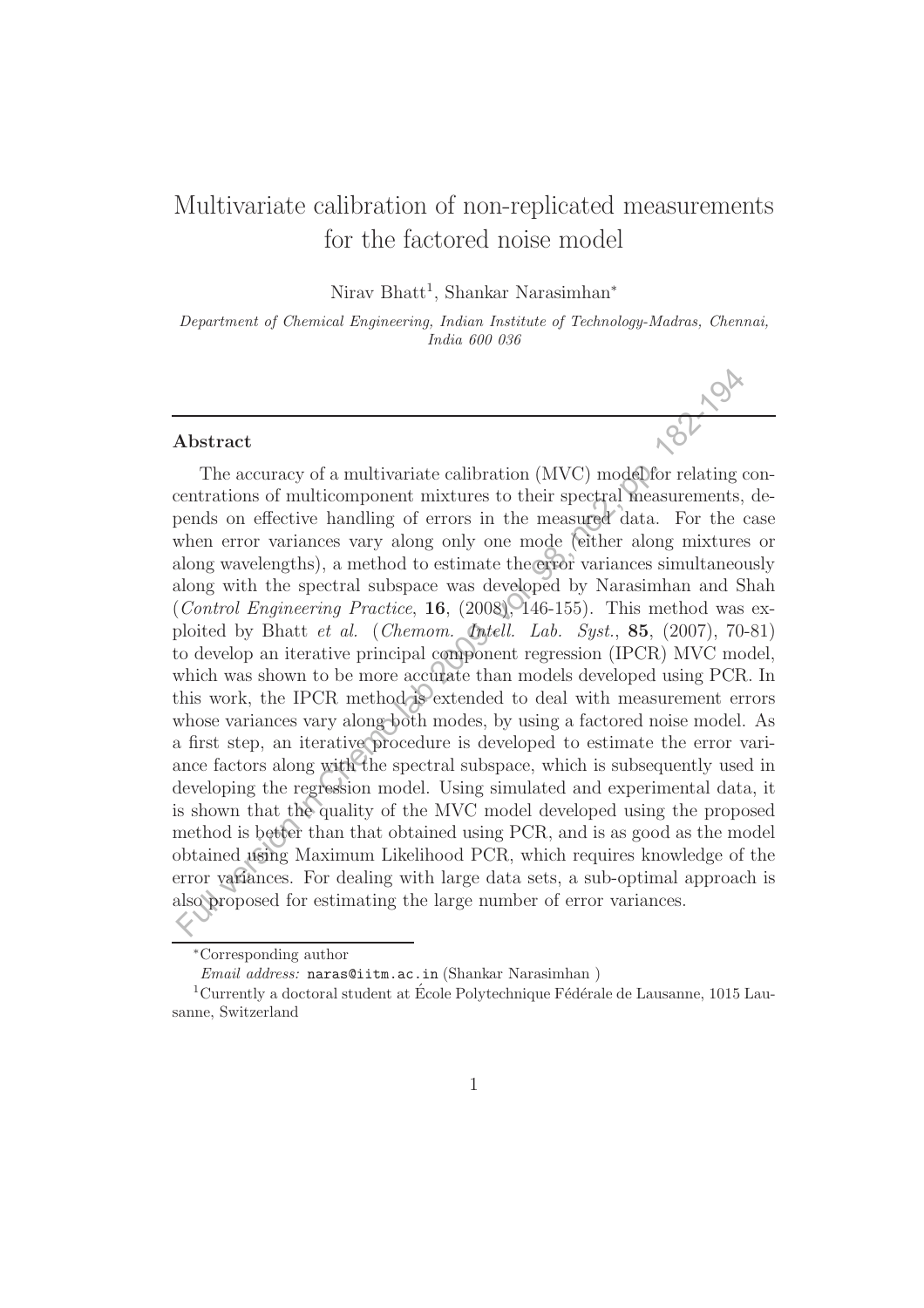# Multivariate calibration of non-replicated measurements for the factored noise model

Nirav Bhatt<sup>1</sup>, Shankar Narasimhan<sup>\*</sup>

Department of Chemical Engineering, Indian Institute of Technology-Madras, Chennai, India 600 036

## Abstract



The accuracy of a multivariate calibration (MVC) model for relating concentrations of multicomponent mixtures to their spectral measurements, depends on effective handling of errors in the measured data. For the case when error variances vary along only one mode (either along mixtures or along wavelengths), a method to estimate the error variances simultaneously along with the spectral subspace was developed by Narasimhan and Shah (Control Engineering Practice,  $16$ , (2008), 146-155). This method was exploited by Bhatt et al. (Chemom. Intell. Lab. Syst., 85, (2007), 70-81) to develop an iterative principal component regression (IPCR) MVC model, which was shown to be more accurate than models developed using PCR. In this work, the IPCR method is extended to deal with measurement errors whose variances vary along both modes, by using a factored noise model. As a first step, an iterative procedure is developed to estimate the error variance factors along with the spectral subspace, which is subsequently used in developing the regression model. Using simulated and experimental data, it is shown that the quality of the MVC model developed using the proposed method is better than that obtained using PCR, and is as good as the model obtained using Maximum Likelihood PCR, which requires knowledge of the error variances. For dealing with large data sets, a sub-optimal approach is also proposed for estimating the large number of error variances. Full version in Chemo lab 2009, vol. 98, no2, pp. 182-194

<sup>∗</sup>Corresponding author

Email address: naras@iitm.ac.in (Shankar Narasimhan )

<sup>&</sup>lt;sup>1</sup>Currently a doctoral student at École Polytechnique Fédérale de Lausanne, 1015 Lausanne, Switzerland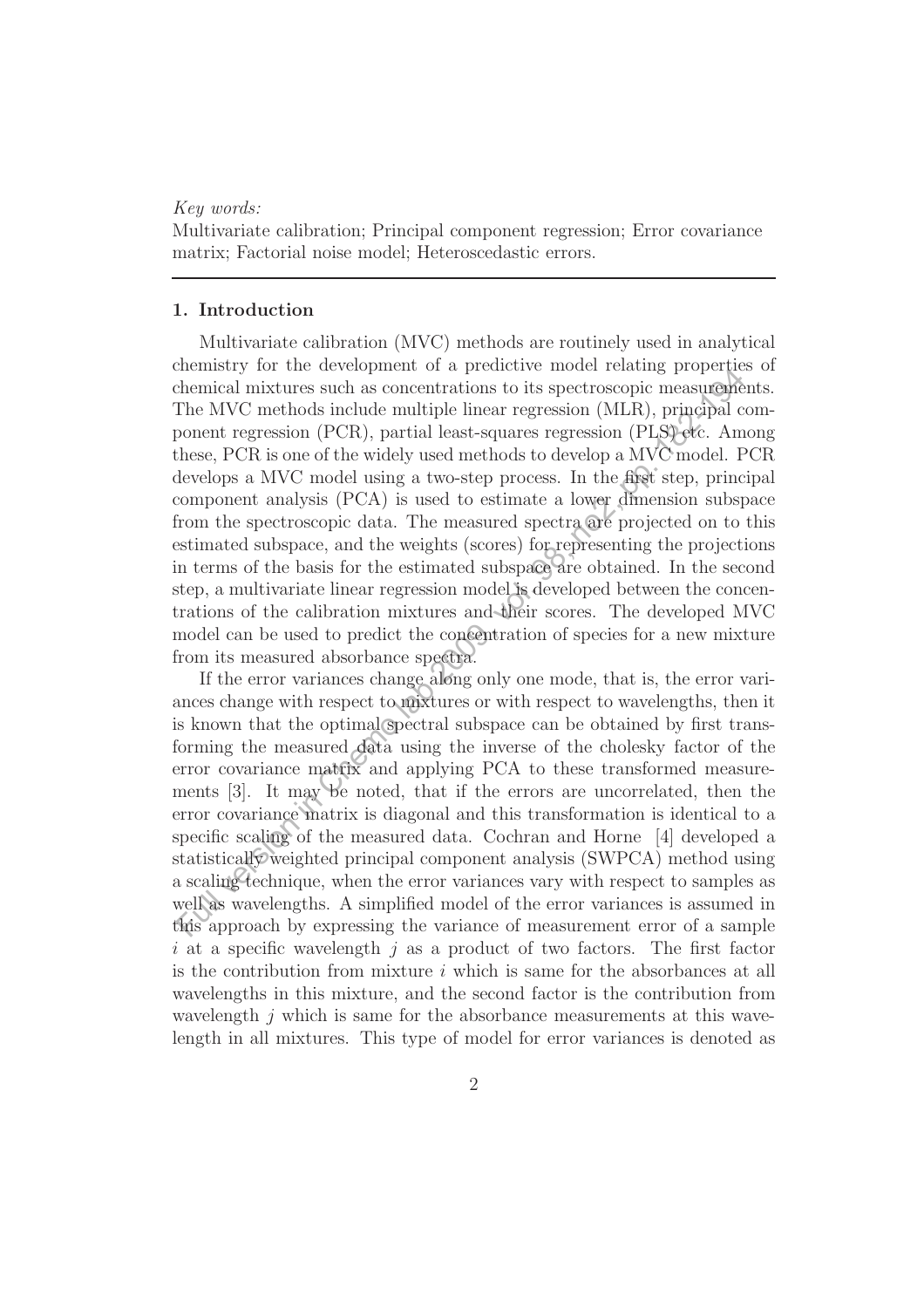# Key words:

Multivariate calibration; Principal component regression; Error covariance matrix; Factorial noise model; Heteroscedastic errors.

# 1. Introduction

Multivariate calibration (MVC) methods are routinely used in analytical chemistry for the development of a predictive model relating properties of chemical mixtures such as concentrations to its spectroscopic measurements. The MVC methods include multiple linear regression (MLR), principal component regression (PCR), partial least-squares regression (PLS) etc. Among these, PCR is one of the widely used methods to develop a MVC model. PCR develops a MVC model using a two-step process. In the first step, principal component analysis (PCA) is used to estimate a lower dimension subspace from the spectroscopic data. The measured spectra are projected on to this estimated subspace, and the weights (scores) for representing the projections in terms of the basis for the estimated subspace are obtained. In the second step, a multivariate linear regression model is developed between the concentrations of the calibration mixtures and their scores. The developed MVC model can be used to predict the concentration of species for a new mixture from its measured absorbance spectra. members on the user-opment or a peartuce mode reading properlies<br>themical mixtures such as concentrations to its spectroscopic measurement<br>The MVC methods include multiple linear regression (PLSP<sub>C</sub>etc. Am<br>hese, PCR is on

If the error variances change along only one mode, that is, the error variances change with respect to mixtures or with respect to wavelengths, then it is known that the optimal spectral subspace can be obtained by first transforming the measured data using the inverse of the cholesky factor of the error covariance matrix and applying PCA to these transformed measurements [3]. It may be noted, that if the errors are uncorrelated, then the error covariance matrix is diagonal and this transformation is identical to a specific scaling of the measured data. Cochran and Horne [4] developed a statistically weighted principal component analysis (SWPCA) method using a scaling technique, when the error variances vary with respect to samples as well as wavelengths. A simplified model of the error variances is assumed in this approach by expressing the variance of measurement error of a sample i at a specific wavelength j as a product of two factors. The first factor is the contribution from mixture  $i$  which is same for the absorbances at all wavelengths in this mixture, and the second factor is the contribution from wavelength  $j$  which is same for the absorbance measurements at this wavelength in all mixtures. This type of model for error variances is denoted as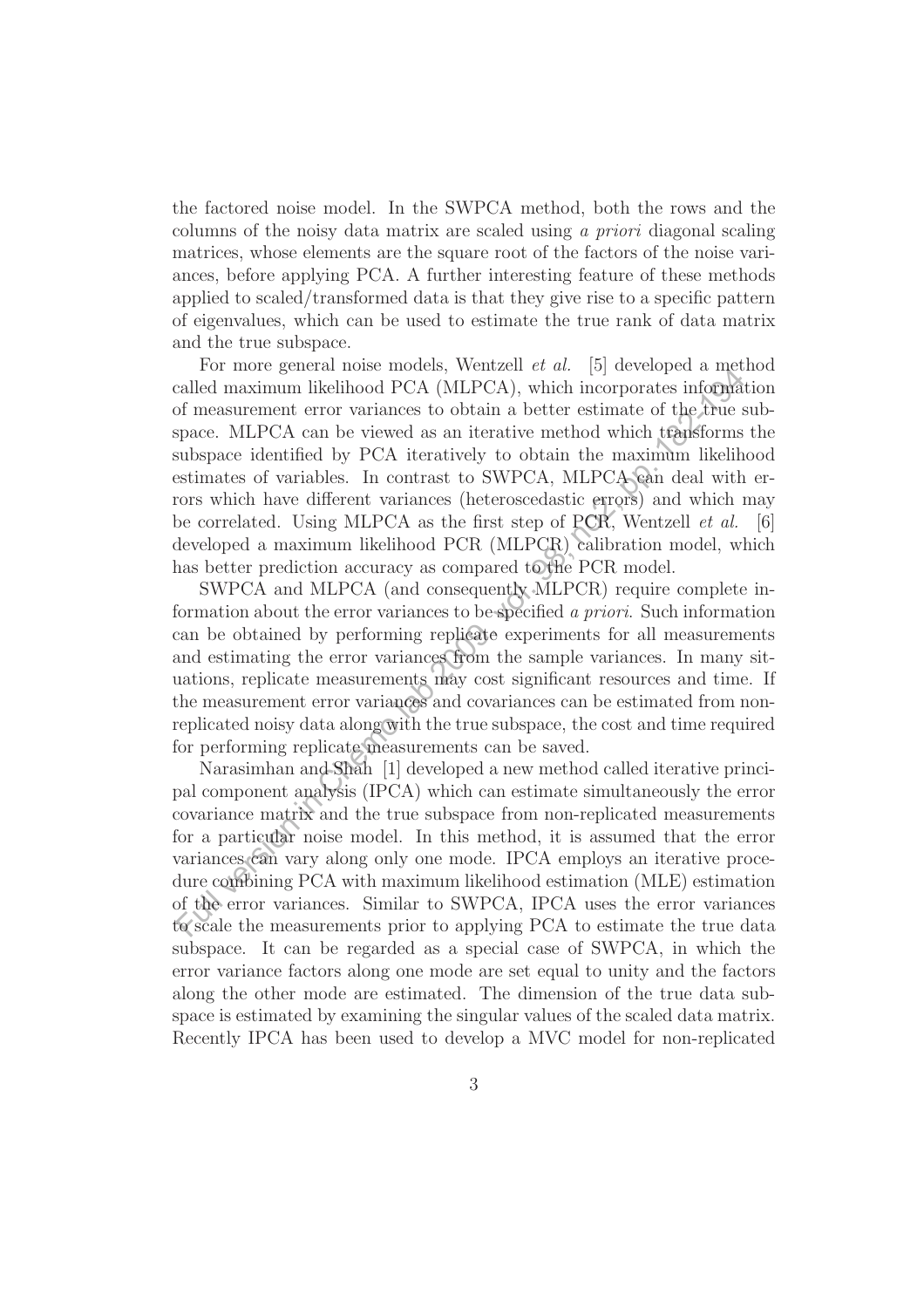the factored noise model. In the SWPCA method, both the rows and the columns of the noisy data matrix are scaled using a priori diagonal scaling matrices, whose elements are the square root of the factors of the noise variances, before applying PCA. A further interesting feature of these methods applied to scaled/transformed data is that they give rise to a specific pattern of eigenvalues, which can be used to estimate the true rank of data matrix and the true subspace.

For more general noise models, Wentzell et al. [5] developed a method called maximum likelihood PCA (MLPCA), which incorporates information of measurement error variances to obtain a better estimate of the true subspace. MLPCA can be viewed as an iterative method which transforms the subspace identified by PCA iteratively to obtain the maximum likelihood estimates of variables. In contrast to SWPCA, MLPCA can deal with errors which have different variances (heteroscedastic errors) and which may be correlated. Using MLPCA as the first step of PCR, Wentzell *et al.* [6] developed a maximum likelihood PCR (MLPCR) calibration model, which has better prediction accuracy as compared to the PCR model. For more general roses modes, versione in the polynomic Full and the maximum likelihood PCA (MLPCA), which incorporates information frameword of the and the space. MLPCA can be viewed as an iterative method which transfor

SWPCA and MLPCA (and consequently MLPCR) require complete information about the error variances to be specified a priori. Such information can be obtained by performing replicate experiments for all measurements and estimating the error variances from the sample variances. In many situations, replicate measurements may cost significant resources and time. If the measurement error variances and covariances can be estimated from nonreplicated noisy data along with the true subspace, the cost and time required for performing replicate measurements can be saved.

Narasimhan and Shah [1] developed a new method called iterative principal component analysis (IPCA) which can estimate simultaneously the error covariance matrix and the true subspace from non-replicated measurements for a particular noise model. In this method, it is assumed that the error variances can vary along only one mode. IPCA employs an iterative procedure combining PCA with maximum likelihood estimation (MLE) estimation of the error variances. Similar to SWPCA, IPCA uses the error variances to scale the measurements prior to applying PCA to estimate the true data subspace. It can be regarded as a special case of SWPCA, in which the error variance factors along one mode are set equal to unity and the factors along the other mode are estimated. The dimension of the true data subspace is estimated by examining the singular values of the scaled data matrix. Recently IPCA has been used to develop a MVC model for non-replicated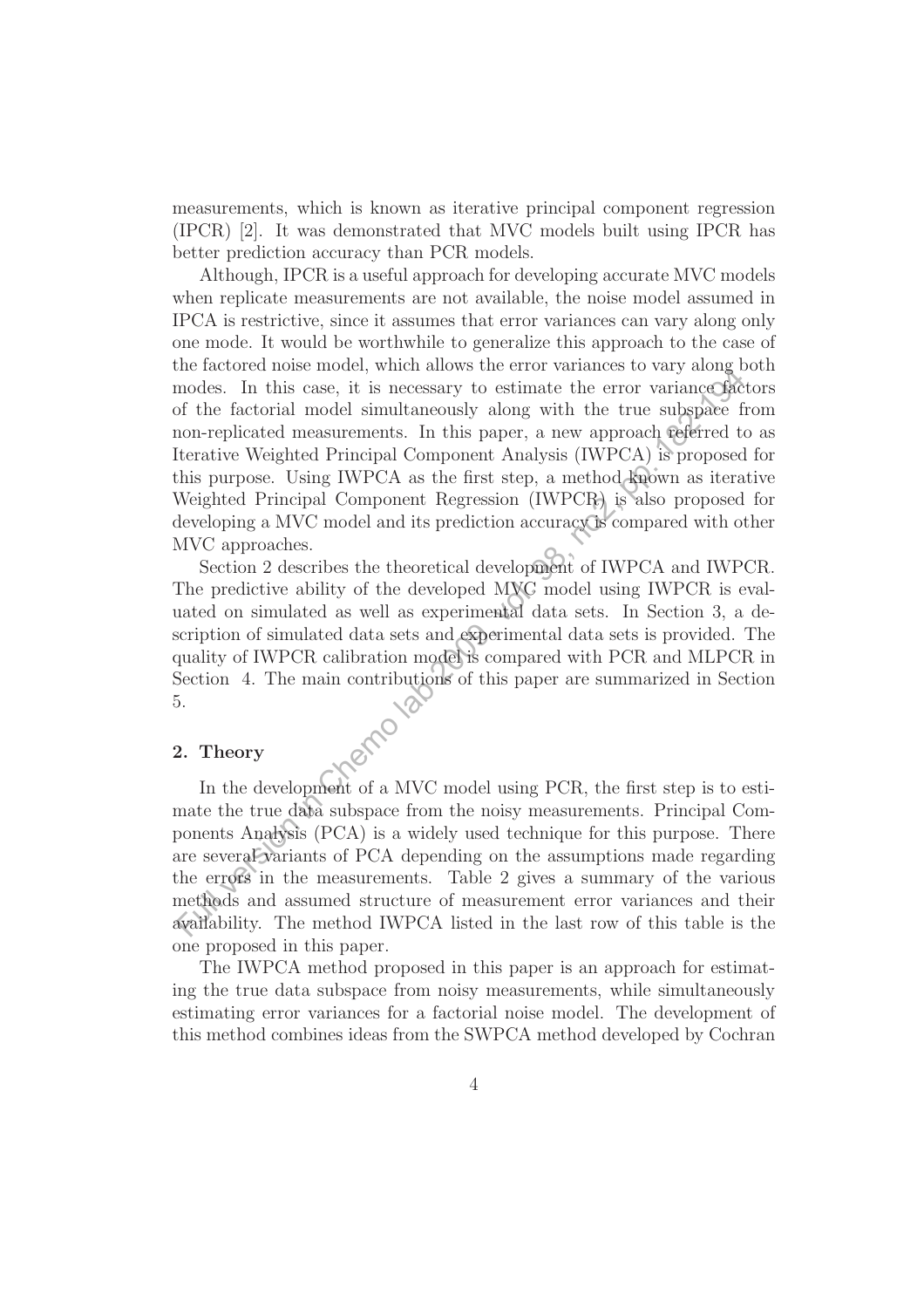measurements, which is known as iterative principal component regression (IPCR) [2]. It was demonstrated that MVC models built using IPCR has better prediction accuracy than PCR models.

Although, IPCR is a useful approach for developing accurate MVC models when replicate measurements are not available, the noise model assumed in IPCA is restrictive, since it assumes that error variances can vary along only one mode. It would be worthwhile to generalize this approach to the case of the factored noise model, which allows the error variances to vary along both modes. In this case, it is necessary to estimate the error variance factors of the factorial model simultaneously along with the true subspace from non-replicated measurements. In this paper, a new approach referred to as Iterative Weighted Principal Component Analysis (IWPCA) is proposed for this purpose. Using IWPCA as the first step, a method known as iterative Weighted Principal Component Regression (IWPCR) is also proposed for developing a MVC model and its prediction accuracy is compared with other MVC approaches. Full version and the matter of matter and the same that the same the same the same of the factorial model simultaneously along with the true subspace of the factorial model simultaneously along with the true subspace for t

Section 2 describes the theoretical development of IWPCA and IWPCR. The predictive ability of the developed MVC model using IWPCR is evaluated on simulated as well as experimental data sets. In Section 3, a description of simulated data sets and experimental data sets is provided. The quality of IWPCR calibration model is compared with PCR and MLPCR in Section 4. The main contributions of this paper are summarized in Section 5.

# 2. Theory

In the development of a MVC model using PCR, the first step is to estimate the true data subspace from the noisy measurements. Principal Components Analysis (PCA) is a widely used technique for this purpose. There are several variants of PCA depending on the assumptions made regarding the errors in the measurements. Table 2 gives a summary of the various methods and assumed structure of measurement error variances and their availability. The method IWPCA listed in the last row of this table is the one proposed in this paper.

The IWPCA method proposed in this paper is an approach for estimating the true data subspace from noisy measurements, while simultaneously estimating error variances for a factorial noise model. The development of this method combines ideas from the SWPCA method developed by Cochran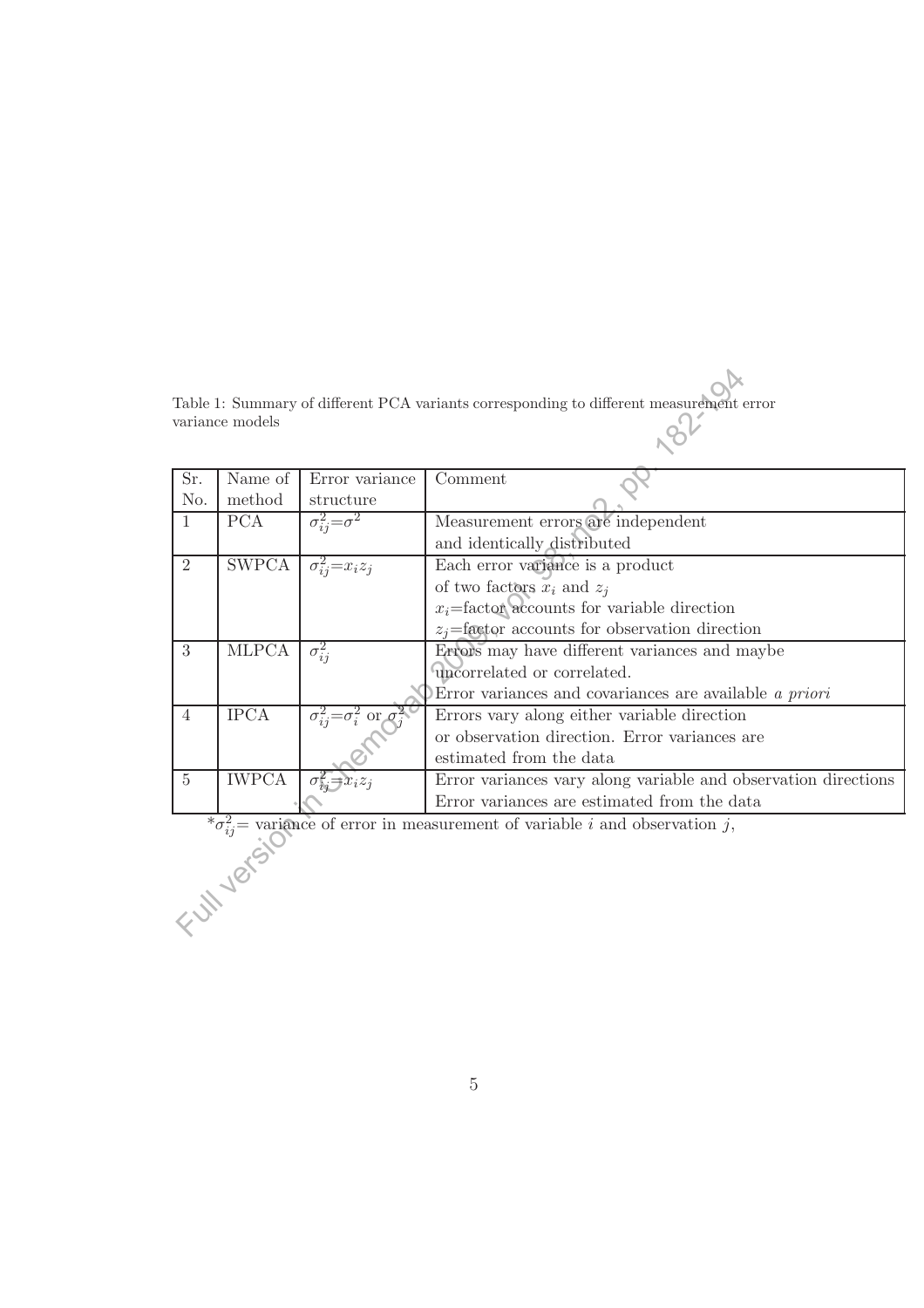Table 1: Summary of different PCA variants corresponding to different measurement error variance models

| Table 1: Summary of different PCA variants corresponding to different measurement error<br>variance models |                   |                                              |                                                                                                   |  |  |  |
|------------------------------------------------------------------------------------------------------------|-------------------|----------------------------------------------|---------------------------------------------------------------------------------------------------|--|--|--|
|                                                                                                            |                   |                                              |                                                                                                   |  |  |  |
| Sr.                                                                                                        | Name of           | Error variance                               | Comment                                                                                           |  |  |  |
| No.                                                                                                        | method            | structure                                    |                                                                                                   |  |  |  |
| $\mathbf{1}$                                                                                               | <b>PCA</b>        | $\sigma_{ij}^2 = \sigma^2$                   | Measurement errors are independent                                                                |  |  |  |
|                                                                                                            |                   |                                              | and identically distributed                                                                       |  |  |  |
| $\overline{2}$                                                                                             | <b>SWPCA</b>      | $\sigma_{ij}^2=x_iz_j$                       | Each error variance is a product                                                                  |  |  |  |
|                                                                                                            |                   |                                              | of two factors $x_i$ and $z_j$                                                                    |  |  |  |
|                                                                                                            |                   |                                              | $x_i$ =factor accounts for variable direction                                                     |  |  |  |
|                                                                                                            |                   |                                              | $z_j$ =factor accounts for observation direction                                                  |  |  |  |
| 3                                                                                                          | <b>MLPCA</b>      | $\sigma_{ij}^2$                              | Errors may have different variances and maybe                                                     |  |  |  |
|                                                                                                            |                   |                                              | uncorrelated or correlated.                                                                       |  |  |  |
|                                                                                                            |                   |                                              | Error variances and covariances are available $a priori$                                          |  |  |  |
| $\overline{4}$                                                                                             | $I\overline{PCA}$ | $\sigma_{ij}^2 = \sigma_i^2$ or $\sigma_j^2$ | Errors vary along either variable direction                                                       |  |  |  |
|                                                                                                            |                   |                                              | or observation direction. Error variances are                                                     |  |  |  |
|                                                                                                            |                   |                                              | estimated from the data                                                                           |  |  |  |
| $\bf 5$                                                                                                    | <b>IWPCA</b>      |                                              | Error variances vary along variable and observation directions                                    |  |  |  |
|                                                                                                            |                   |                                              | Error variances are estimated from the data                                                       |  |  |  |
|                                                                                                            |                   |                                              |                                                                                                   |  |  |  |
|                                                                                                            |                   |                                              | $*\sigma_{ij}^2$ variance of error in measurement of variable <i>i</i> and observation <i>j</i> , |  |  |  |
|                                                                                                            |                   |                                              |                                                                                                   |  |  |  |
|                                                                                                            |                   |                                              |                                                                                                   |  |  |  |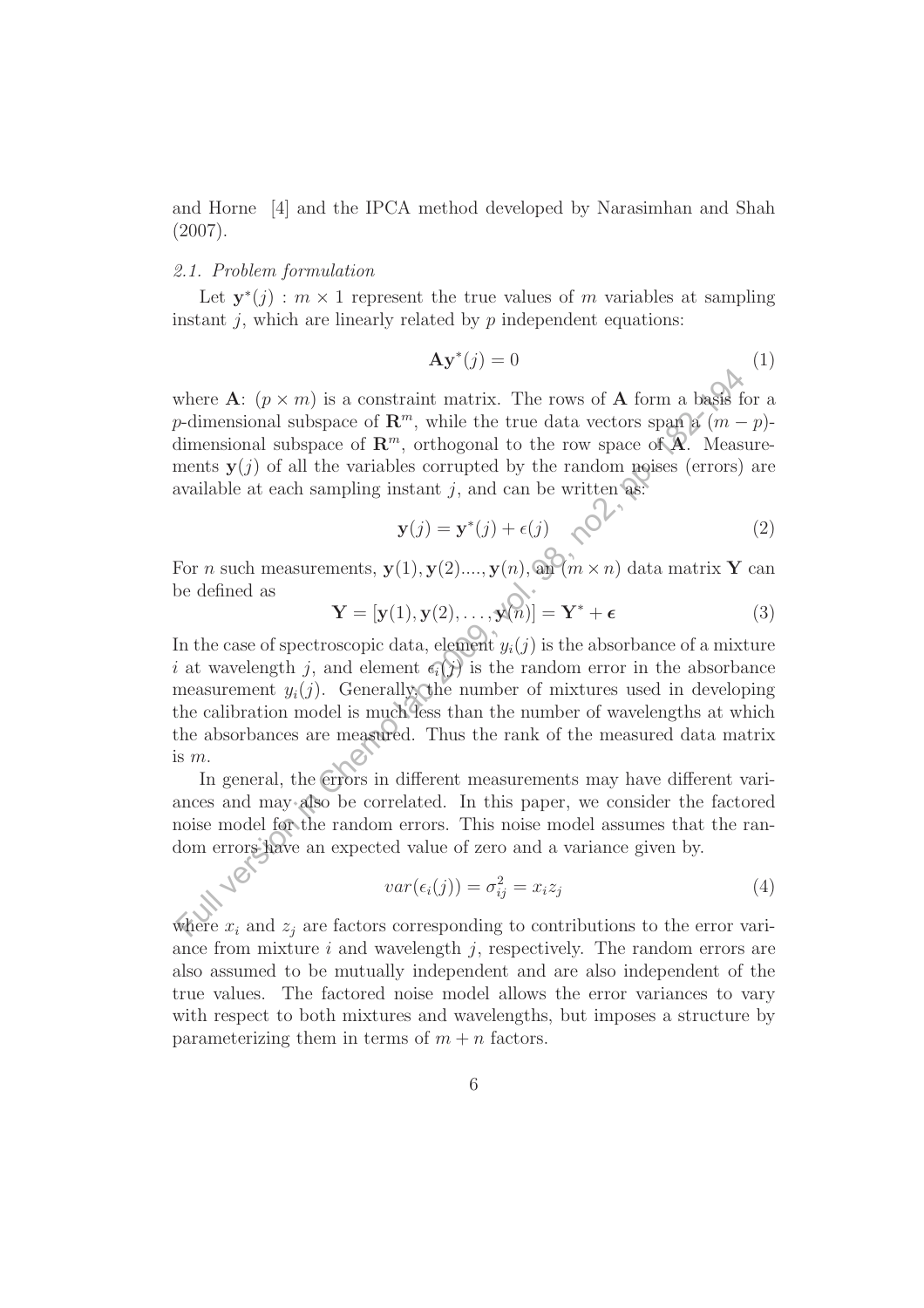and Horne [4] and the IPCA method developed by Narasimhan and Shah (2007).

# 2.1. Problem formulation

Let  $y^*(j)$ :  $m \times 1$  represent the true values of m variables at sampling instant  $j$ , which are linearly related by  $p$  independent equations:

$$
\mathbf{A}\mathbf{y}^*(j) = 0\tag{1}
$$

where **A**:  $(p \times m)$  is a constraint matrix. The rows of **A** form a basis for a p-dimensional subspace of  $\mathbb{R}^m$ , while the true data vectors span a  $(m - p)$ dimensional subspace of  $\mathbb{R}^m$ , orthogonal to the row space of  $\mathbb{A}$ . Measurements  $y(j)$  of all the variables corrupted by the random noises (errors) are available at each sampling instant  $j$ , and can be written as:

$$
\mathbf{y}(j) = \mathbf{y}^*(j) + \epsilon(j) \quad \text{(2)}
$$

For *n* such measurements,  $y(1), y(2),..., y(n),$  an  $(m \times n)$  data matrix Y can be defined as

$$
\mathbf{Y} = [\mathbf{y}(1), \mathbf{y}(2), \dots, \mathbf{y}(n)] = \mathbf{Y}^* + \boldsymbol{\epsilon}
$$
 (3)

In the case of spectroscopic data, element  $y_i(j)$  is the absorbance of a mixture i at wavelength j, and element  $\epsilon_i(j)$  is the random error in the absorbance measurement  $y_i(j)$ . Generally, the number of mixtures used in developing the calibration model is much less than the number of wavelengths at which the absorbances are measured. Thus the rank of the measured data matrix is m. where **A**:  $(p \times m)$  is a constraint matrix. The rows of **A** form a basis for-<br>o-dimensional subspace of **R**<sup>*m*</sup>, while the true data vectors span is (*m* -<br>dimensional subspace of **R**<sup>*m*</sup>, orthogonal to the row space of

In general, the errors in different measurements may have different variances and may also be correlated. In this paper, we consider the factored noise model for the random errors. This noise model assumes that the random errors have an expected value of zero and a variance given by.

$$
var(\epsilon_i(j)) = \sigma_{ij}^2 = x_i z_j \tag{4}
$$

where  $x_i$  and  $z_j$  are factors corresponding to contributions to the error variance from mixture  $i$  and wavelength  $j$ , respectively. The random errors are also assumed to be mutually independent and are also independent of the true values. The factored noise model allows the error variances to vary with respect to both mixtures and wavelengths, but imposes a structure by parameterizing them in terms of  $m + n$  factors.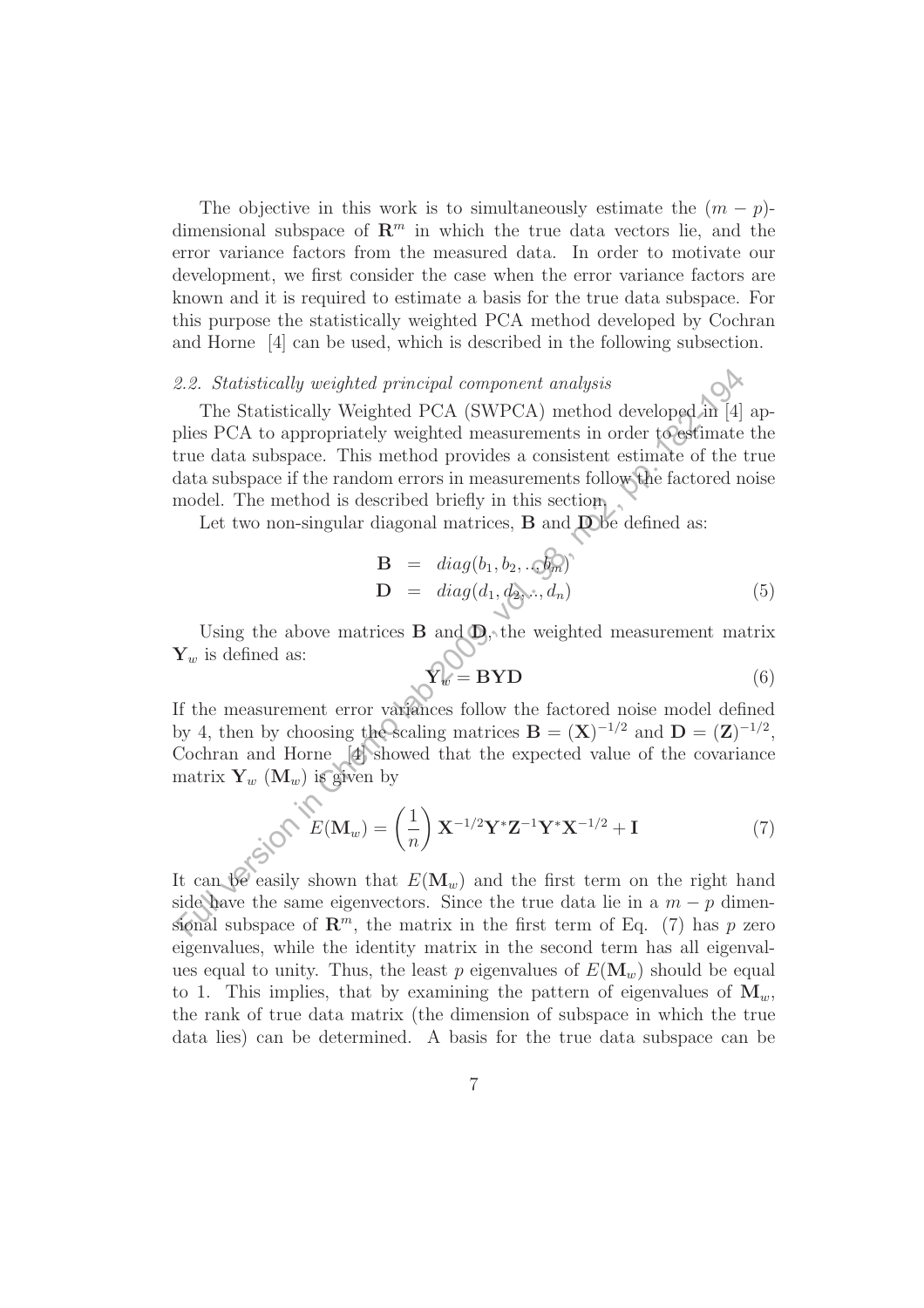The objective in this work is to simultaneously estimate the  $(m - p)$ dimensional subspace of  $\mathbb{R}^m$  in which the true data vectors lie, and the error variance factors from the measured data. In order to motivate our development, we first consider the case when the error variance factors are known and it is required to estimate a basis for the true data subspace. For this purpose the statistically weighted PCA method developed by Cochran and Horne [4] can be used, which is described in the following subsection.

# 2.2. Statistically weighted principal component analysis

The Statistically Weighted PCA (SWPCA) method developed in [4] applies PCA to appropriately weighted measurements in order to estimate the true data subspace. This method provides a consistent estimate of the true data subspace if the random errors in measurements follow the factored noise model. The method is described briefly in this section. 2.2. Statistically weighted principal component analysis<br>
The Statistically Weighted PCA (SWPCA) method developed in [4]<br>
plies PCA to appropriately weighted measurements in order to<br>
extract at a subspace. This method pr

Let two non-singular diagonal matrices, **B** and **D** be defined as:

$$
\mathbf{B} = diag(b_1, b_2, \ldots, b_m)
$$
  
\n
$$
\mathbf{D} = diag(d_1, d_2, \ldots, d_n)
$$
 (5)

Using the above matrices  $B$  and  $D$ , the weighted measurement matrix  $Y_w$  is defined as:

$$
\mathbf{Y}_w = \mathbf{B}\mathbf{Y}\mathbf{D} \tag{6}
$$

If the measurement error variances follow the factored noise model defined by 4, then by choosing the scaling matrices  $\mathbf{B} = (\mathbf{X})^{-1/2}$  and  $\mathbf{D} = (\mathbf{Z})^{-1/2}$ , Cochran and Horne [4] showed that the expected value of the covariance matrix  $\mathbf{Y}_w$  ( $\mathbf{M}_w$ ) is given by

$$
E(\mathbf{M}_w) = \left(\frac{1}{n}\right) \mathbf{X}^{-1/2} \mathbf{Y}^* \mathbf{Z}^{-1} \mathbf{Y}^* \mathbf{X}^{-1/2} + \mathbf{I}
$$
 (7)

It can be easily shown that  $E(\mathbf{M}_w)$  and the first term on the right hand side have the same eigenvectors. Since the true data lie in a  $m - p$  dimensional subspace of  $\mathbb{R}^m$ , the matrix in the first term of Eq. (7) has p zero eigenvalues, while the identity matrix in the second term has all eigenvalues equal to unity. Thus, the least p eigenvalues of  $E(\mathbf{M}_w)$  should be equal to 1. This implies, that by examining the pattern of eigenvalues of  $\mathbf{M}_w$ , the rank of true data matrix (the dimension of subspace in which the true data lies) can be determined. A basis for the true data subspace can be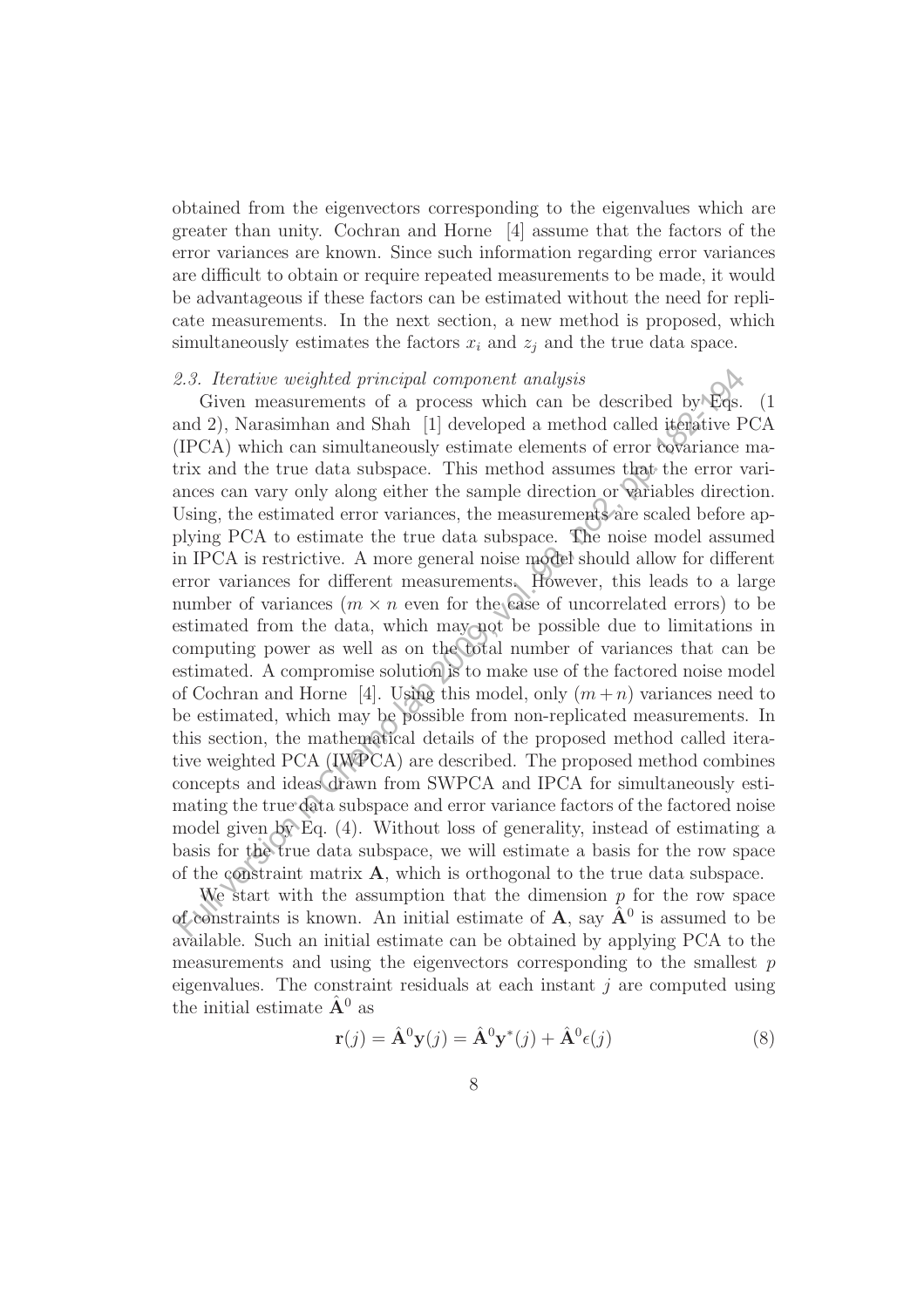obtained from the eigenvectors corresponding to the eigenvalues which are greater than unity. Cochran and Horne [4] assume that the factors of the error variances are known. Since such information regarding error variances are difficult to obtain or require repeated measurements to be made, it would be advantageous if these factors can be estimated without the need for replicate measurements. In the next section, a new method is proposed, which simultaneously estimates the factors  $x_i$  and  $z_j$  and the true data space.

# 2.3. Iterative weighted principal component analysis

Given measurements of a process which can be described by Eqs. (1) and 2), Narasimhan and Shah [1] developed a method called iterative PCA (IPCA) which can simultaneously estimate elements of error covariance matrix and the true data subspace. This method assumes that the error variances can vary only along either the sample direction or variables direction. Using, the estimated error variances, the measurements are scaled before applying PCA to estimate the true data subspace. The noise model assumed in IPCA is restrictive. A more general noise model should allow for different error variances for different measurements. However, this leads to a large number of variances  $(m \times n$  even for the case of uncorrelated errors) to be estimated from the data, which may not be possible due to limitations in computing power as well as on the total number of variances that can be estimated. A compromise solution is to make use of the factored noise model of Cochran and Horne [4]. Using this model, only  $(m+n)$  variances need to be estimated, which may be possible from non-replicated measurements. In this section, the mathematical details of the proposed method called iterative weighted PCA (IWPCA) are described. The proposed method combines concepts and ideas drawn from SWPCA and IPCA for simultaneously estimating the true data subspace and error variance factors of the factored noise model given by Eq. (4). Without loss of generality, instead of estimating a basis for the true data subspace, we will estimate a basis for the row space of the constraint matrix A, which is orthogonal to the true data subspace. 2.3. Iterative weighted principal component analysis<br>
Given measurements of a process which can be described by Res.<br>
IMPCA) which can simultaneously estimate elements of error covariance<br>
2012 (IPCA) which can simultaneo

We start with the assumption that the dimension  $p$  for the row space of constraints is known. An initial estimate of **A**, say  $\hat{A}^0$  is assumed to be available. Such an initial estimate can be obtained by applying PCA to the measurements and using the eigenvectors corresponding to the smallest  $p$ eigenvalues. The constraint residuals at each instant  $j$  are computed using the initial estimate  $\mathbf{\hat{A}}^0$  as

$$
\mathbf{r}(j) = \hat{\mathbf{A}}^0 \mathbf{y}(j) = \hat{\mathbf{A}}^0 \mathbf{y}^*(j) + \hat{\mathbf{A}}^0 \epsilon(j)
$$
 (8)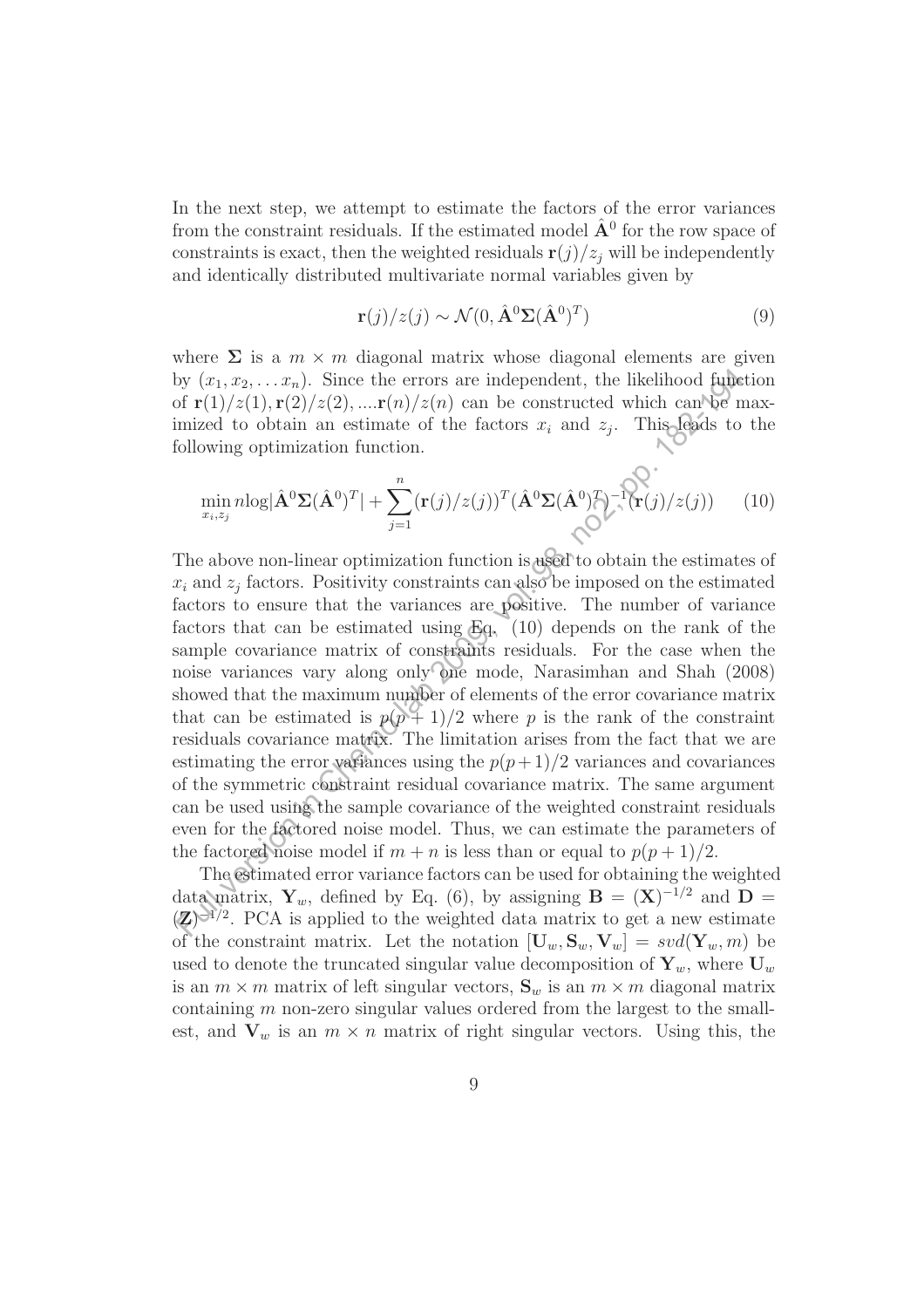In the next step, we attempt to estimate the factors of the error variances from the constraint residuals. If the estimated model  $\hat{A}^0$  for the row space of constraints is exact, then the weighted residuals  $\mathbf{r}(j)/z_i$  will be independently and identically distributed multivariate normal variables given by

$$
\mathbf{r}(j)/z(j) \sim \mathcal{N}(0, \hat{\mathbf{A}}^0 \Sigma (\hat{\mathbf{A}}^0)^T)
$$
 (9)

where  $\Sigma$  is a  $m \times m$  diagonal matrix whose diagonal elements are given by  $(x_1, x_2, \ldots, x_n)$ . Since the errors are independent, the likelihood function of  $\mathbf{r}(1)/z(1), \mathbf{r}(2)/z(2), \dots, \mathbf{r}(n)/z(n)$  can be constructed which can be maximized to obtain an estimate of the factors  $x_i$  and  $z_j$ . This leads to the following optimization function.

$$
\min_{x_i, z_j} n \log |\hat{\mathbf{A}}^0 \Sigma(\hat{\mathbf{A}}^0)^T| + \sum_{j=1}^n (\mathbf{r}(j)/z(j))^T (\hat{\mathbf{A}}^0 \Sigma(\hat{\mathbf{A}}^0)^T)^{-1} (\mathbf{r}(j)/z(j)) \qquad (10)
$$

The above non-linear optimization function is used to obtain the estimates of  $x_i$  and  $z_j$  factors. Positivity constraints can also be imposed on the estimated factors to ensure that the variances are positive. The number of variance factors that can be estimated using  $Eq_{\gamma}$  (10) depends on the rank of the sample covariance matrix of constraints residuals. For the case when the noise variances vary along only one mode, Narasimhan and Shah (2008) showed that the maximum number of elements of the error covariance matrix that can be estimated is  $p(p+1)/2$  where p is the rank of the constraint residuals covariance matrix. The limitation arises from the fact that we are estimating the error variances using the  $p(p+1)/2$  variances and covariances of the symmetric constraint residual covariance matrix. The same argument can be used using the sample covariance of the weighted constraint residuals even for the factored noise model. Thus, we can estimate the parameters of the factored noise model if  $m + n$  is less than or equal to  $p(p + 1)/2$ . by  $(x_1, x_2, \ldots x_n)$ . Since the errors are independent, the likelihood function  $f_1(1)/z(1), f(2)/z(2), \ldots, f(n)/z(n)$  can be constructed which can'be m<br>mized to obtain an estimate of the factors  $x_i$  and  $z_j$ . This obtain the col

The estimated error variance factors can be used for obtaining the weighted data matrix,  $\mathbf{Y}_w$ , defined by Eq. (6), by assigning  $\mathbf{B} = (\mathbf{X})^{-1/2}$  and  $\mathbf{D} =$  $(\mathbf{Z})^{-1/2}$ . PCA is applied to the weighted data matrix to get a new estimate of the constraint matrix. Let the notation  $[\mathbf{U}_w, \mathbf{S}_w, \mathbf{V}_w] = svd(\mathbf{Y}_w, m)$  be used to denote the truncated singular value decomposition of  $\mathbf{Y}_w$ , where  $\mathbf{U}_w$ is an  $m \times m$  matrix of left singular vectors,  $S_w$  is an  $m \times m$  diagonal matrix containing m non-zero singular values ordered from the largest to the smallest, and  $V_w$  is an  $m \times n$  matrix of right singular vectors. Using this, the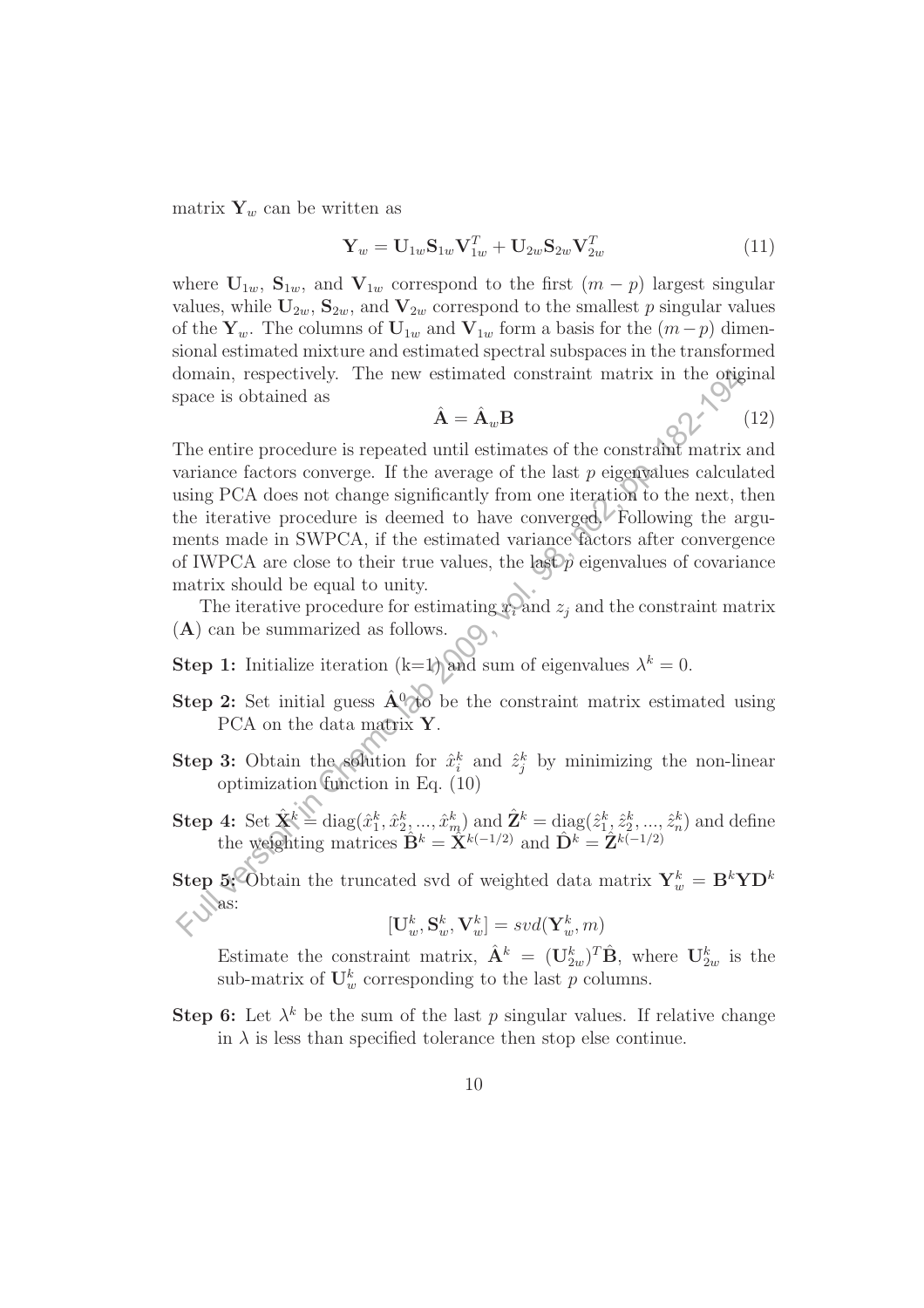matrix  $\mathbf{Y}_w$  can be written as

$$
\mathbf{Y}_w = \mathbf{U}_{1w}\mathbf{S}_{1w}\mathbf{V}_{1w}^T + \mathbf{U}_{2w}\mathbf{S}_{2w}\mathbf{V}_{2w}^T
$$
\n(11)

where  $U_{1w}$ ,  $S_{1w}$ , and  $V_{1w}$  correspond to the first  $(m - p)$  largest singular values, while  $U_{2w}$ ,  $S_{2w}$ , and  $V_{2w}$  correspond to the smallest p singular values of the  $Y_w$ . The columns of  $U_{1w}$  and  $V_{1w}$  form a basis for the  $(m-p)$  dimensional estimated mixture and estimated spectral subspaces in the transformed domain, respectively. The new estimated constraint matrix in the original space is obtained as

$$
\hat{\mathbf{A}} = \hat{\mathbf{A}}_w \mathbf{B} \tag{12}
$$

The entire procedure is repeated until estimates of the constraint matrix and variance factors converge. If the average of the last  $p$  eigenvalues calculated using PCA does not change significantly from one iteration to the next, then the iterative procedure is deemed to have converged. Following the arguments made in SWPCA, if the estimated variance factors after convergence of IWPCA are close to their true values, the last  $\hat{p}$  eigenvalues of covariance matrix should be equal to unity. domain, respectively. The new estimated constraint matrix in the origance is obtained as<br>  $\hat{\mathbf{A}} = \hat{\mathbf{A}}_w \mathbf{B}$ <br>
The entire procedure is repeated until estimates of the constraint matrix<br>
variance factors converge.

The iterative procedure for estimating  $x_i$  and  $z_j$  and the constraint matrix (A) can be summarized as follows.

- **Step 1:** Initialize iteration (k=1) and sum of eigenvalues  $\lambda^k = 0$ .
- Step 2: Set initial guess  $\hat{A}^0$  to be the constraint matrix estimated using PCA on the data matrix Y.
- **Step 3:** Obtain the solution for  $\hat{x}_i^k$  and  $\hat{z}_j^k$  by minimizing the non-linear optimization function in Eq. (10)
- Step 4: Set  $\hat{\mathbf{X}}^k = \text{diag}(\hat{x}_1^k, \hat{x}_2^k, ..., \hat{x}_m^k)$  and  $\hat{\mathbf{Z}}^k = \text{diag}(\hat{z}_1^k, \hat{z}_2^k, ..., \hat{z}_n^k)$  and define the weighting matrices  $\hat{\mathbf{B}}^k = \hat{\mathbf{X}}^{k(-1/2)}$  and  $\hat{\mathbf{D}}^k = \hat{\mathbf{Z}}^{k(-1/2)}$

**Step 5:** Obtain the truncated svd of weighted data matrix  $Y_w^k = B^k Y D^k$ as:

$$
[\mathbf{U}^k_w,\mathbf{S}^k_w,\mathbf{V}^k_w] = svd(\mathbf{Y}^k_w,m)
$$

Estimate the constraint matrix,  $\hat{\mathbf{A}}^k = (\mathbf{U}_{2w}^k)^T \hat{\mathbf{B}}$ , where  $\mathbf{U}_{2w}^k$  is the sub-matrix of  $\mathbf{U}_{w}^{k}$  corresponding to the last p columns.

**Step 6:** Let  $\lambda^k$  be the sum of the last p singular values. If relative change in  $\lambda$  is less than specified tolerance then stop else continue.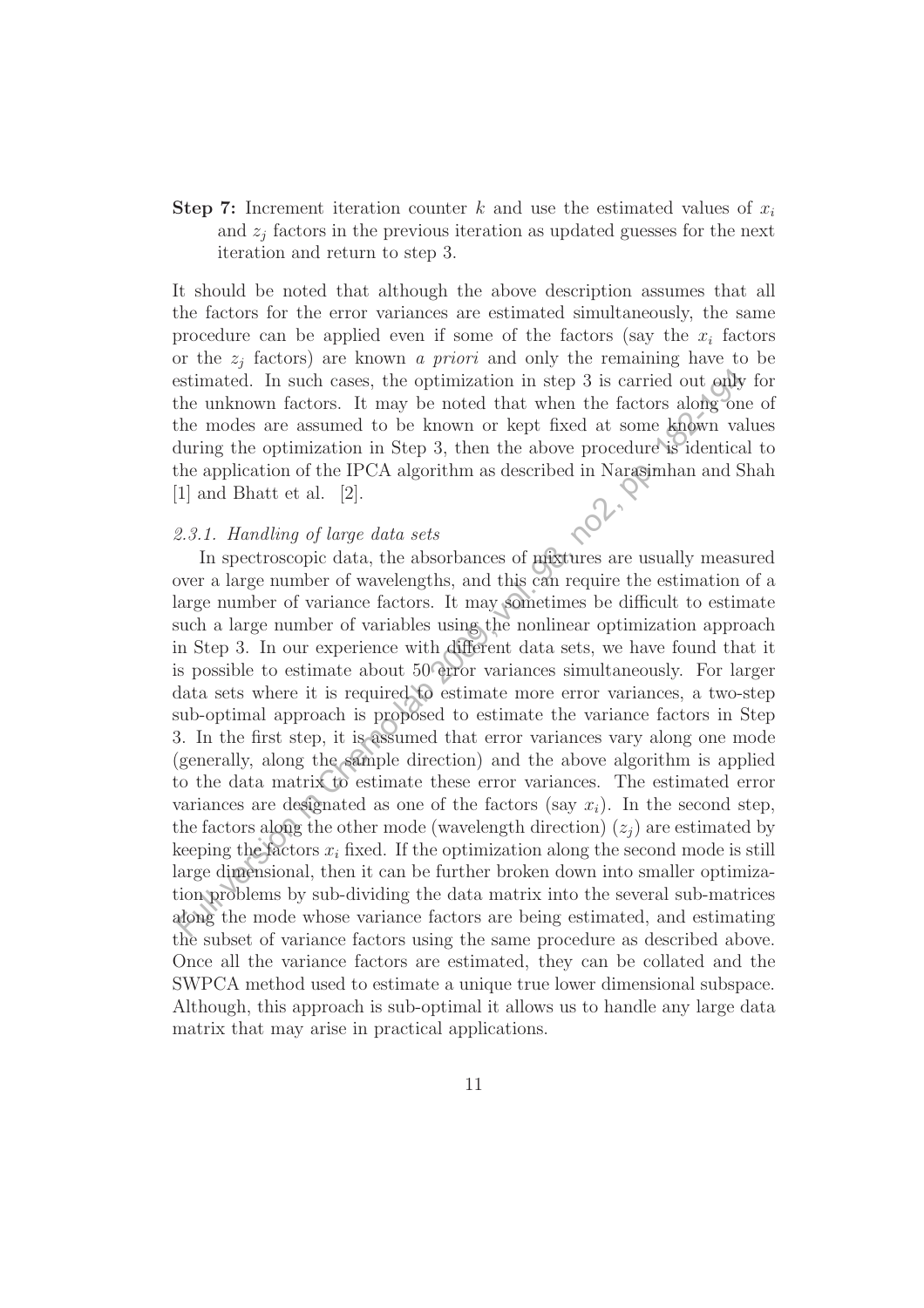**Step 7:** Increment iteration counter k and use the estimated values of  $x_i$ and  $z_j$  factors in the previous iteration as updated guesses for the next iteration and return to step 3.

It should be noted that although the above description assumes that all the factors for the error variances are estimated simultaneously, the same procedure can be applied even if some of the factors (say the  $x_i$  factors or the  $z_j$  factors) are known a *priori* and only the remaining have to be estimated. In such cases, the optimization in step 3 is carried out only for the unknown factors. It may be noted that when the factors along one of the modes are assumed to be known or kept fixed at some known values during the optimization in Step 3, then the above procedure is identical to the application of the IPCA algorithm as described in Narasimhan and Shah [1] and Bhatt et al. [2].

# 2.3.1. Handling of large data sets

In spectroscopic data, the absorbances of mixtures are usually measured over a large number of wavelengths, and this can require the estimation of a large number of variance factors. It may sometimes be difficult to estimate such a large number of variables using the nonlinear optimization approach in Step 3. In our experience with different data sets, we have found that it is possible to estimate about 50 error variances simultaneously. For larger data sets where it is required to estimate more error variances, a two-step sub-optimal approach is proposed to estimate the variance factors in Step 3. In the first step, it is assumed that error variances vary along one mode (generally, along the sample direction) and the above algorithm is applied to the data matrix to estimate these error variances. The estimated error variances are designated as one of the factors (say  $x_i$ ). In the second step, the factors along the other mode (wavelength direction)  $(z_i)$  are estimated by keeping the factors  $x_i$  fixed. If the optimization along the second mode is still large dimensional, then it can be further broken down into smaller optimization problems by sub-dividing the data matrix into the several sub-matrices along the mode whose variance factors are being estimated, and estimating the subset of variance factors using the same procedure as described above. Once all the variance factors are estimated, they can be collated and the SWPCA method used to estimate a unique true lower dimensional subspace. Although, this approach is sub-optimal it allows us to handle any large data matrix that may arise in practical applications. estimated. In such cases, the optimization in step 3 is carried out gubs<br>the unknown factors. It may be noted that when the factors along on<br>the modes are assumed to be known or kept fixed at some keppen value<br>during the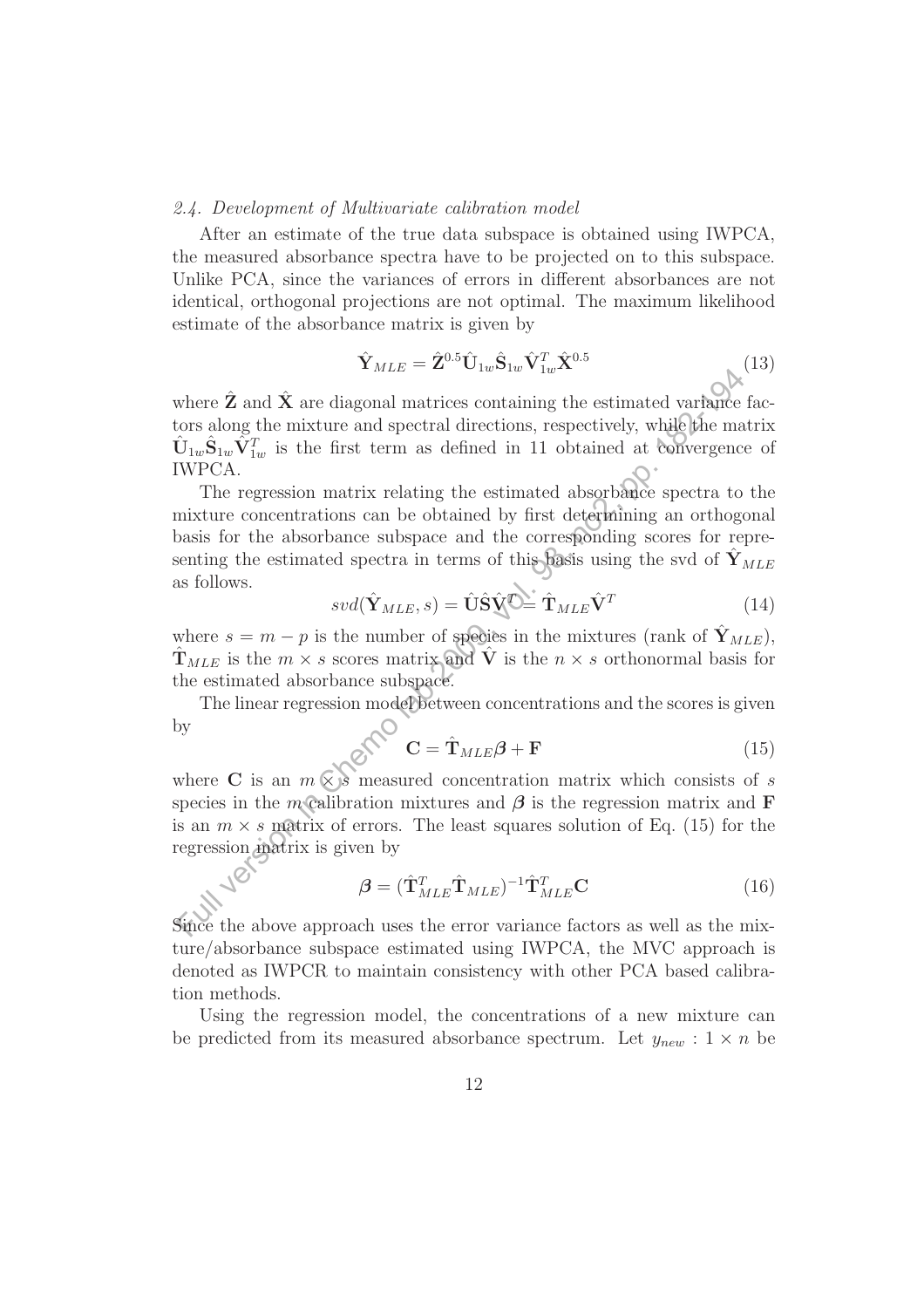# 2.4. Development of Multivariate calibration model

After an estimate of the true data subspace is obtained using IWPCA, the measured absorbance spectra have to be projected on to this subspace. Unlike PCA, since the variances of errors in different absorbances are not identical, orthogonal projections are not optimal. The maximum likelihood estimate of the absorbance matrix is given by

$$
\hat{\mathbf{Y}}_{MLE} = \hat{\mathbf{Z}}^{0.5} \hat{\mathbf{U}}_{1w} \hat{\mathbf{S}}_{1w} \hat{\mathbf{V}}_{1w}^T \hat{\mathbf{X}}^{0.5}
$$
\n(13)

where  $\hat{\mathbf{Z}}$  and  $\hat{\mathbf{X}}$  are diagonal matrices containing the estimated variance factors along the mixture and spectral directions, respectively, while the matrix  $\hat{\mathbf{U}}_{1w}\hat{\mathbf{S}}_{1w}\hat{\mathbf{V}}_{1w}^T$  is the first term as defined in 11 obtained at convergence of IWPCA.

The regression matrix relating the estimated absorbance spectra to the mixture concentrations can be obtained by first determining an orthogonal basis for the absorbance subspace and the corresponding scores for representing the estimated spectra in terms of this basis using the svd of  $\hat{\mathbf{Y}}_{MLE}$ as follows. where  $\hat{Z}$  and  $\hat{X}$  are diagonal matrices containing the estimated variance<br>tors along the mixture and spectral directions, respectively, while the matric  $\hat{U}_{1w}\hat{S}_{1w}\hat{V}_{1w}^T$  is the first term as defined in 1

$$
svd(\hat{\mathbf{Y}}_{MLE},s) = \hat{\mathbf{U}}\hat{\mathbf{S}}\hat{\mathbf{V}}\hat{\mathbf{Z}} = \hat{\mathbf{T}}_{MLE}\hat{\mathbf{V}}^T
$$
\n(14)

where  $s = m - p$  is the number of species in the mixtures (rank of  $\mathbf{Y}_{MLE}$ ),  $T_{MLE}$  is the  $m \times s$  scores matrix and V is the  $n \times s$  orthonormal basis for the estimated absorbance subspace.

The linear regression model between concentrations and the scores is given by

$$
\mathbf{C} = \hat{\mathbf{T}}_{MLE} \boldsymbol{\beta} + \mathbf{F} \tag{15}
$$

where **C** is an  $m \times s$  measured concentration matrix which consists of s species in the m calibration mixtures and  $\beta$  is the regression matrix and **F** is an  $m \times s$  matrix of errors. The least squares solution of Eq. (15) for the regression matrix is given by

$$
\boldsymbol{\beta} = (\hat{\mathbf{T}}_{MLE}^T \hat{\mathbf{T}}_{MLE})^{-1} \hat{\mathbf{T}}_{MLE}^T \mathbf{C}
$$
(16)

Since the above approach uses the error variance factors as well as the mixture/absorbance subspace estimated using IWPCA, the MVC approach is denoted as IWPCR to maintain consistency with other PCA based calibration methods.

Using the regression model, the concentrations of a new mixture can be predicted from its measured absorbance spectrum. Let  $y_{new} : 1 \times n$  be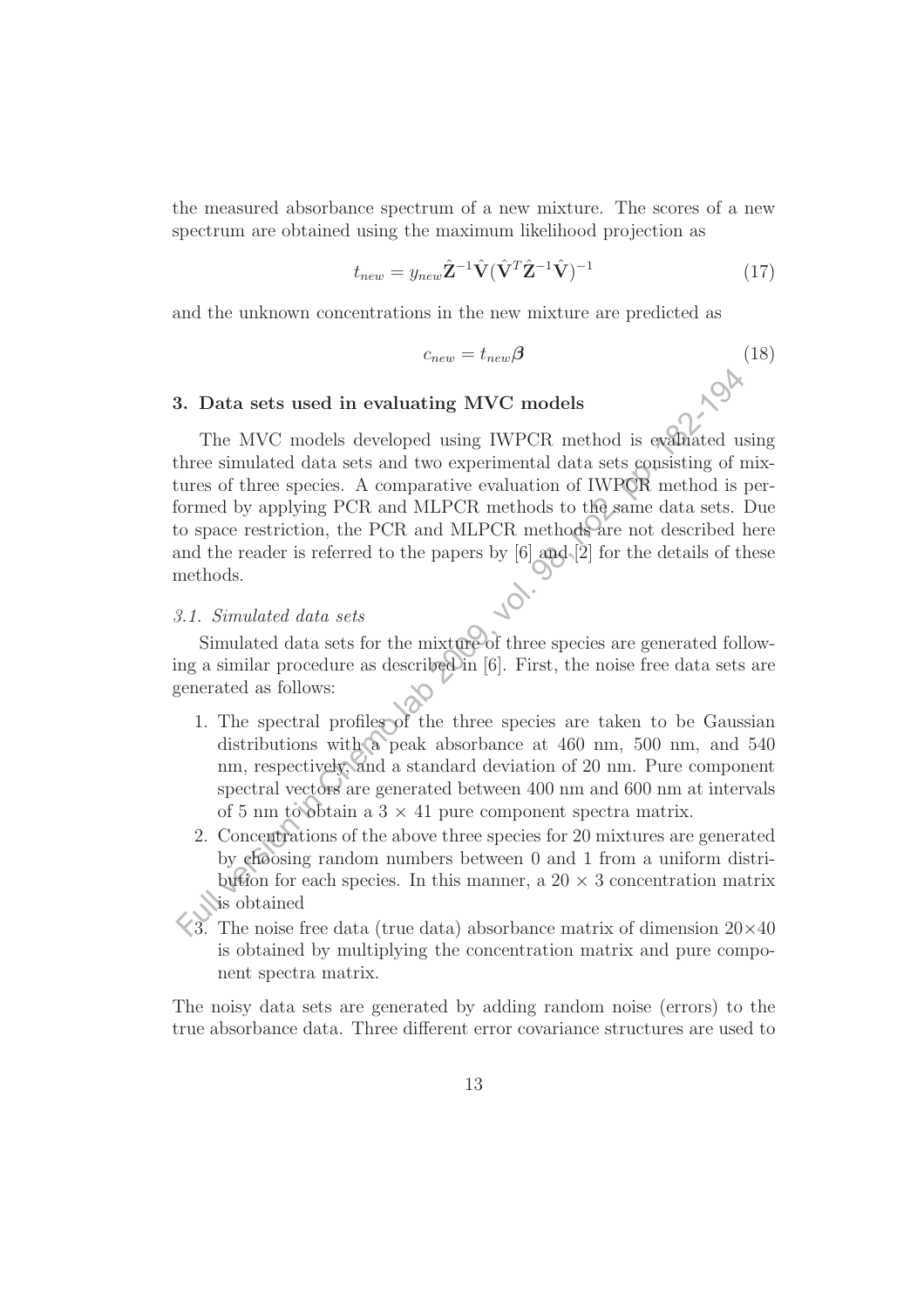the measured absorbance spectrum of a new mixture. The scores of a new spectrum are obtained using the maximum likelihood projection as

$$
t_{new} = y_{new} \hat{\mathbf{Z}}^{-1} \hat{\mathbf{V}} (\hat{\mathbf{V}}^T \hat{\mathbf{Z}}^{-1} \hat{\mathbf{V}})^{-1}
$$
(17)

and the unknown concentrations in the new mixture are predicted as

$$
c_{new} = t_{new} \mathbf{\beta} \tag{18}
$$

# 3. Data sets used in evaluating MVC models

The MVC models developed using IWPCR method is evaluated using three simulated data sets and two experimental data sets consisting of mixtures of three species. A comparative evaluation of IWPCR method is performed by applying PCR and MLPCR methods to the same data sets. Due to space restriction, the PCR and MLPCR methods are not described here and the reader is referred to the papers by  $[6]$  and  $[2]$  for the details of these methods. **3.** Data sets used in evaluating MVC models<br>
The MVC models developed using IWPCR method is explained using of r<br>three simulated data sets and two experimental data sets consisting of r<br>draws of three species. A comparat

## 3.1. Simulated data sets

Simulated data sets for the mixture of three species are generated following a similar procedure as described in [6]. First, the noise free data sets are generated as follows:

- 1. The spectral profiles of the three species are taken to be Gaussian distributions with a peak absorbance at 460 nm, 500 nm, and 540 nm, respectively, and a standard deviation of 20 nm. Pure component spectral vectors are generated between 400 nm and 600 nm at intervals of 5 nm to obtain a  $3 \times 41$  pure component spectra matrix.
- 2. Concentrations of the above three species for 20 mixtures are generated by choosing random numbers between 0 and 1 from a uniform distribution for each species. In this manner, a  $20 \times 3$  concentration matrix is obtained
- $\leq$ 3. The noise free data (true data) absorbance matrix of dimension 20 $\times$ 40 is obtained by multiplying the concentration matrix and pure component spectra matrix.

The noisy data sets are generated by adding random noise (errors) to the true absorbance data. Three different error covariance structures are used to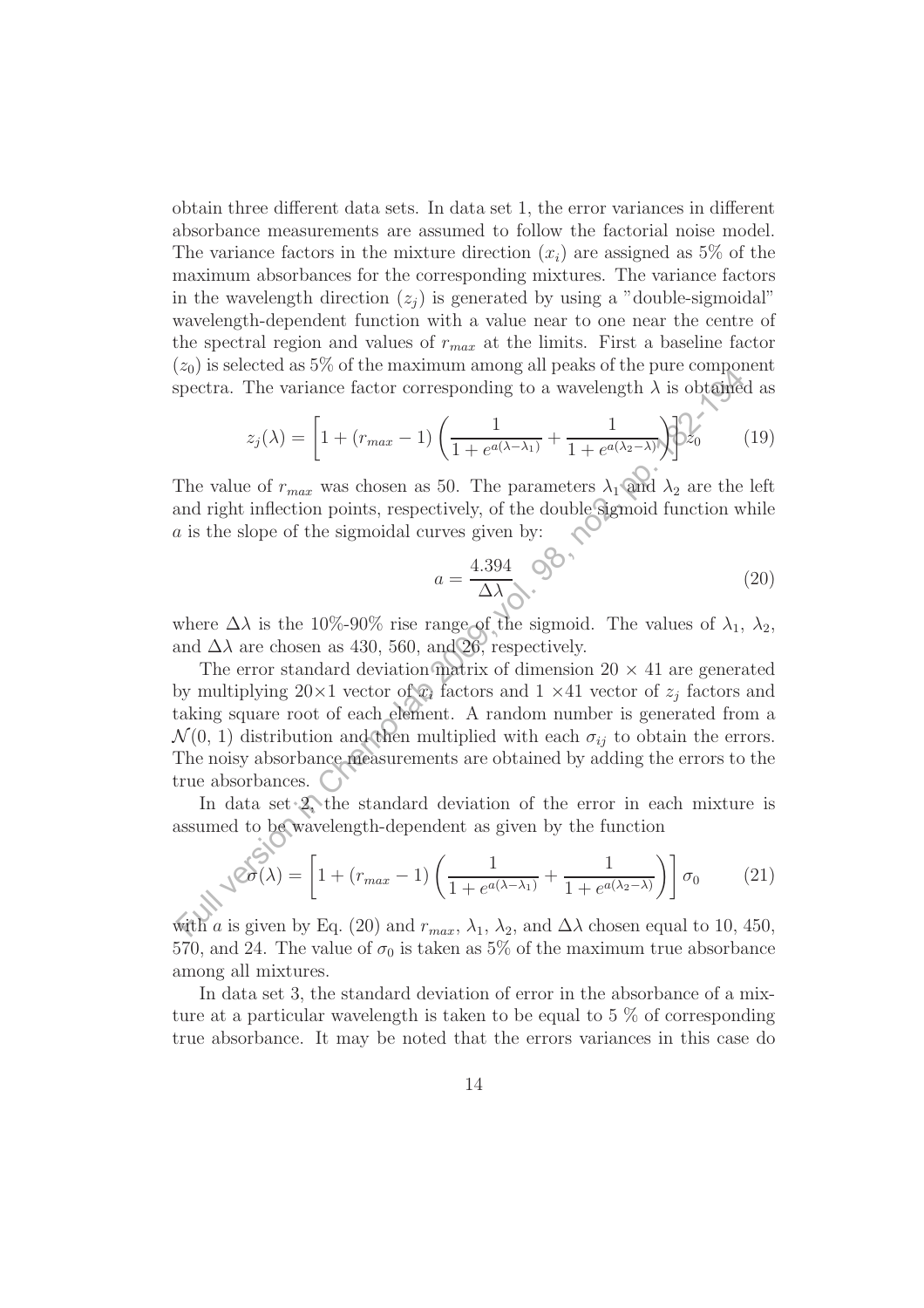obtain three different data sets. In data set 1, the error variances in different absorbance measurements are assumed to follow the factorial noise model. The variance factors in the mixture direction  $(x_i)$  are assigned as 5% of the maximum absorbances for the corresponding mixtures. The variance factors in the wavelength direction  $(z_i)$  is generated by using a "double-sigmoidal" wavelength-dependent function with a value near to one near the centre of the spectral region and values of  $r_{max}$  at the limits. First a baseline factor  $(z_0)$  is selected as 5% of the maximum among all peaks of the pure component spectra. The variance factor corresponding to a wavelength  $\lambda$  is obtained as

$$
z_j(\lambda) = \left[1 + (r_{max} - 1)\left(\frac{1}{1 + e^{a(\lambda - \lambda_1)}} + \frac{1}{1 + e^{a(\lambda_2 - \lambda)}}\right)\right]z_0^2 \tag{19}
$$

The value of  $r_{max}$  was chosen as 50. The parameters  $\lambda_1$  and  $\lambda_2$  are the left and right inflection points, respectively, of the double sigmoid function while  $a$  is the slope of the sigmoidal curves given by:

$$
a = \frac{4.394}{\Delta\lambda}
$$
 (20)

where  $\Delta\lambda$  is the 10%-90% rise range of the sigmoid. The values of  $\lambda_1$ ,  $\lambda_2$ , and  $\Delta\lambda$  are chosen as 430, 560, and 26, respectively.

The error standard deviation matrix of dimension  $20 \times 41$  are generated by multiplying  $20 \times 1$  vector of  $x_i$  factors and  $1 \times 41$  vector of  $z_j$  factors and taking square root of each element. A random number is generated from a  $\mathcal{N}(0, 1)$  distribution and then multiplied with each  $\sigma_{ij}$  to obtain the errors. The noisy absorbance measurements are obtained by adding the errors to the true absorbances.  $z_j(\lambda)$  is selected as of other maximum almong an peaks of the plue components.<br>The value of  $r_{max}$  was chosen as 50. The parameters  $\lambda_1$ Qui  $\lambda_2$  are the parameters  $\lambda_1$ Qui  $\lambda_2$  are the and right inflection poin

In data set 2, the standard deviation of the error in each mixture is assumed to be wavelength-dependent as given by the function

$$
\sqrt{\mathcal{O}\sigma(\lambda)} = \left[1 + (r_{max} - 1)\left(\frac{1}{1 + e^{a(\lambda - \lambda_1)}} + \frac{1}{1 + e^{a(\lambda_2 - \lambda)}}\right)\right]\sigma_0 \tag{21}
$$

with a is given by Eq. (20) and  $r_{max}$ ,  $\lambda_1$ ,  $\lambda_2$ , and  $\Delta\lambda$  chosen equal to 10, 450, 570, and 24. The value of  $\sigma_0$  is taken as 5% of the maximum true absorbance among all mixtures.

In data set 3, the standard deviation of error in the absorbance of a mixture at a particular wavelength is taken to be equal to 5  $\%$  of corresponding true absorbance. It may be noted that the errors variances in this case do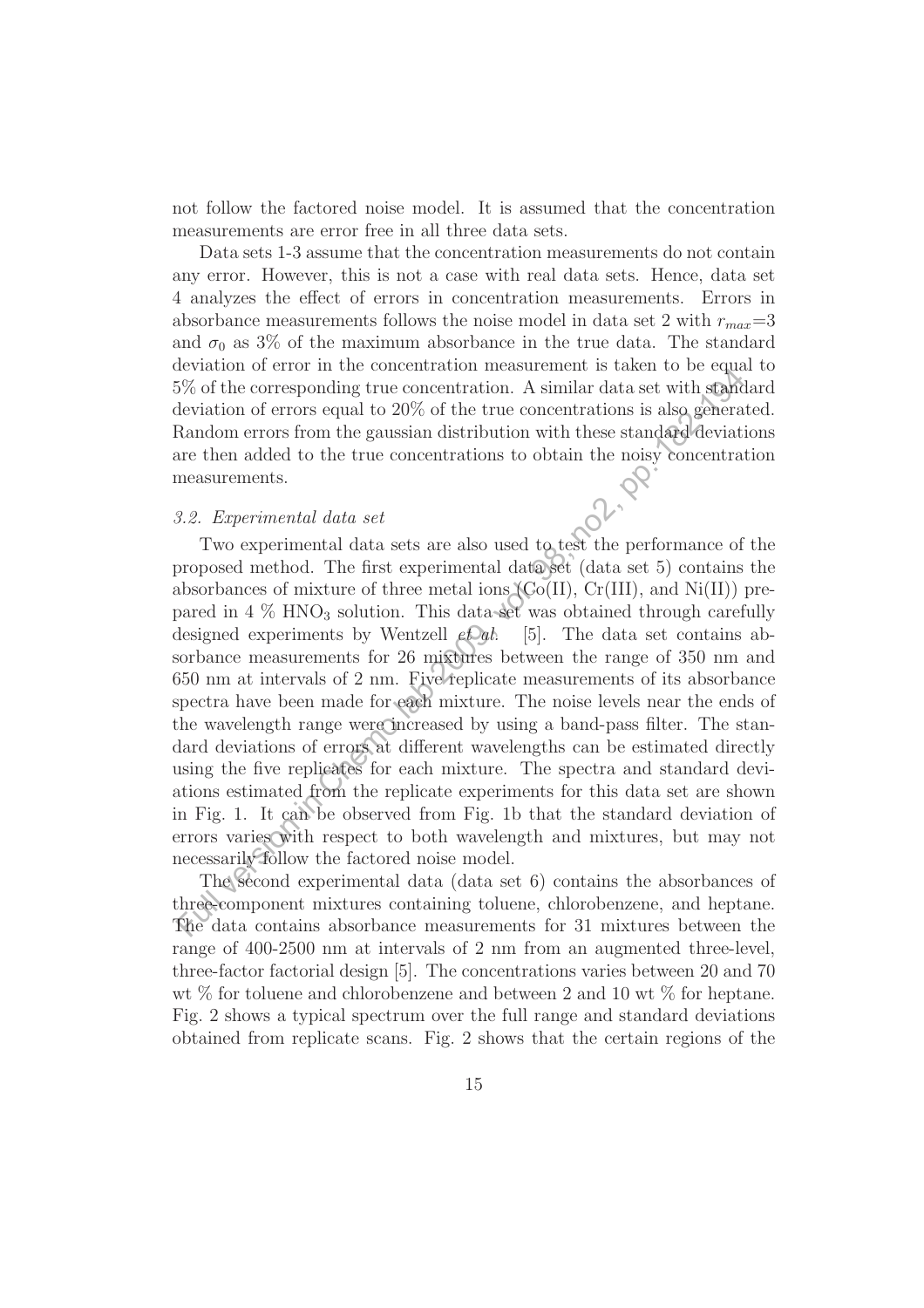not follow the factored noise model. It is assumed that the concentration measurements are error free in all three data sets.

Data sets 1-3 assume that the concentration measurements do not contain any error. However, this is not a case with real data sets. Hence, data set 4 analyzes the effect of errors in concentration measurements. Errors in absorbance measurements follows the noise model in data set 2 with  $r_{max}=3$ and  $\sigma_0$  as 3% of the maximum absorbance in the true data. The standard deviation of error in the concentration measurement is taken to be equal to 5% of the corresponding true concentration. A similar data set with standard deviation of errors equal to 20% of the true concentrations is also generated. Random errors from the gaussian distribution with these standard deviations are then added to the true concentrations to obtain the noisy concentration measurements.<br>
3.2. Experimental data set measurements.

# 3.2. Experimental data set

Two experimental data sets are also used to test the performance of the proposed method. The first experimental data set (data set 5) contains the absorbances of mixture of three metal ions  $(Co(II), Cr(III))$ , and  $Ni(II))$  prepared in  $4\%$  HNO<sub>3</sub> solution. This data set was obtained through carefully designed experiments by Wentzell  $etQab$  [5]. The data set contains absorbance measurements for 26 mixtures between the range of 350 nm and 650 nm at intervals of 2 nm. Five replicate measurements of its absorbance spectra have been made for each mixture. The noise levels near the ends of the wavelength range were increased by using a band-pass filter. The standard deviations of errors at different wavelengths can be estimated directly using the five replicates for each mixture. The spectra and standard deviations estimated from the replicate experiments for this data set are shown in Fig. 1. It can be observed from Fig. 1b that the standard deviation of errors varies with respect to both wavelength and mixtures, but may not necessarily follow the factored noise model. Evansion of earth and content and content is calculated in each and content is calculated to the experimental of errors equal to  $20\%$  of the true concentrations is also general deviation of errors equal to  $20\%$  of the

The second experimental data (data set 6) contains the absorbances of three-component mixtures containing toluene, chlorobenzene, and heptane. The data contains absorbance measurements for 31 mixtures between the range of 400-2500 nm at intervals of 2 nm from an augmented three-level, three-factor factorial design [5]. The concentrations varies between 20 and 70 wt  $\%$  for toluene and chlorobenzene and between 2 and 10 wt  $\%$  for heptane. Fig. 2 shows a typical spectrum over the full range and standard deviations obtained from replicate scans. Fig. 2 shows that the certain regions of the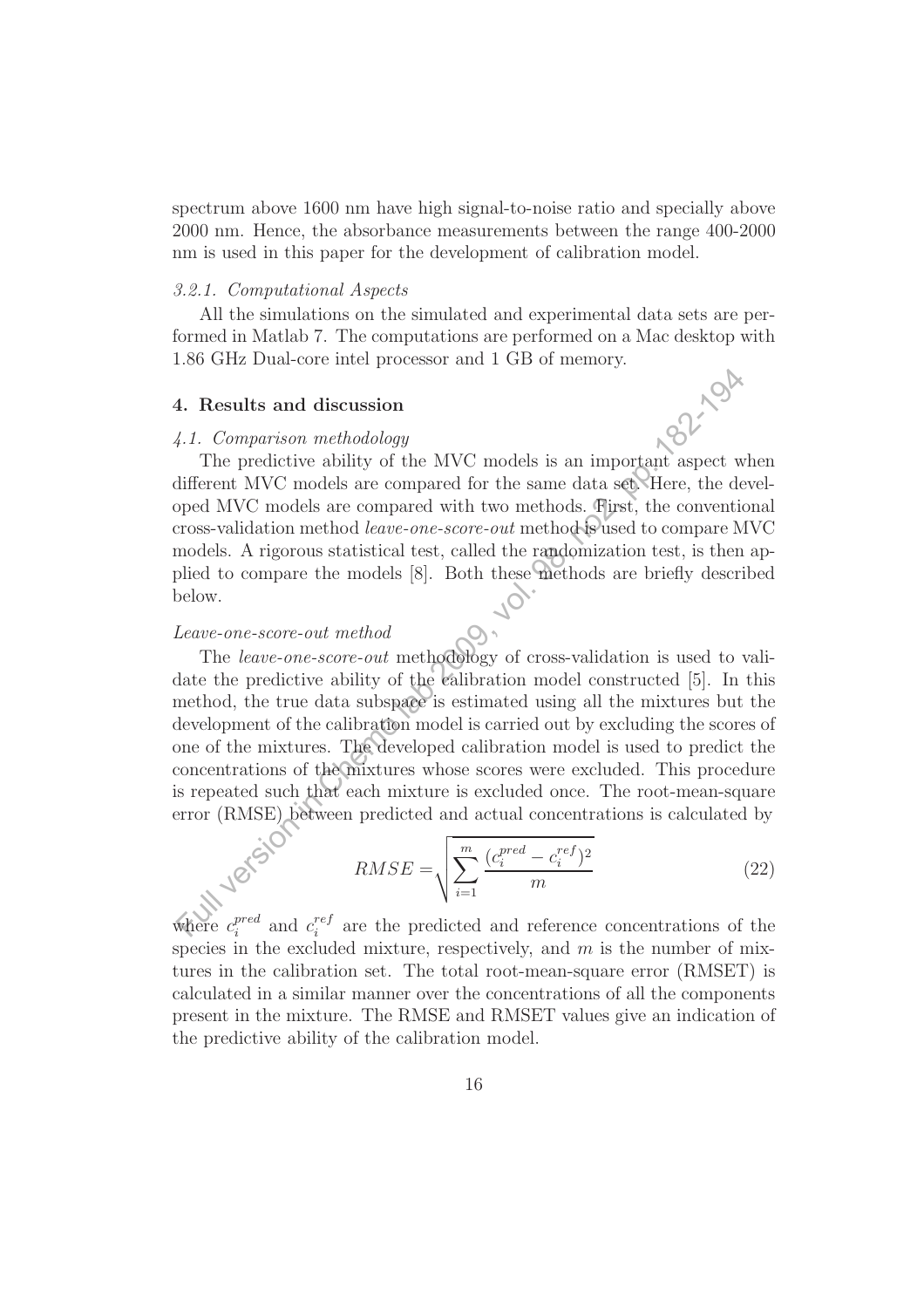spectrum above 1600 nm have high signal-to-noise ratio and specially above 2000 nm. Hence, the absorbance measurements between the range 400-2000 nm is used in this paper for the development of calibration model.

# 3.2.1. Computational Aspects

All the simulations on the simulated and experimental data sets are performed in Matlab 7. The computations are performed on a Mac desktop with 1.86 GHz Dual-core intel processor and 1 GB of memory.

## 4. Results and discussion

# 4.1. Comparison methodology

The predictive ability of the MVC models is an important aspect when different MVC models are compared for the same data set. Here, the developed MVC models are compared with two methods. First, the conventional cross-validation method leave-one-score-out method is used to compare MVC models. A rigorous statistical test, called the randomization test, is then applied to compare the models [8]. Both these methods are briefly described below.

#### Leave-one-score-out method

The leave-one-score-out methodology of cross-validation is used to validate the predictive ability of the calibration model constructed [5]. In this method, the true data subspace is estimated using all the mixtures but the development of the calibration model is carried out by excluding the scores of one of the mixtures. The developed calibration model is used to predict the concentrations of the mixtures whose scores were excluded. This procedure is repeated such that each mixture is excluded once. The root-mean-square error (RMSE) between predicted and actual concentrations is calculated by **4. Results and discussion**<br>  $f_+I$ . Comparison methodology<br>
The predictive ability of the MVC models is an important aspect will<br>flement MVC models are compared for the same data sets.<br>
Figure MVC models are compared wit

$$
RMSE = \sqrt{\sum_{i=1}^{m} \frac{(c_i^{pred} - c_i^{ref})^2}{m}}
$$
 (22)

where  $c_i^{pred}$  $i^{pred}$  and  $c_i^{ref}$  $i_i^{ref}$  are the predicted and reference concentrations of the species in the excluded mixture, respectively, and  $m$  is the number of mixtures in the calibration set. The total root-mean-square error (RMSET) is calculated in a similar manner over the concentrations of all the components present in the mixture. The RMSE and RMSET values give an indication of the predictive ability of the calibration model.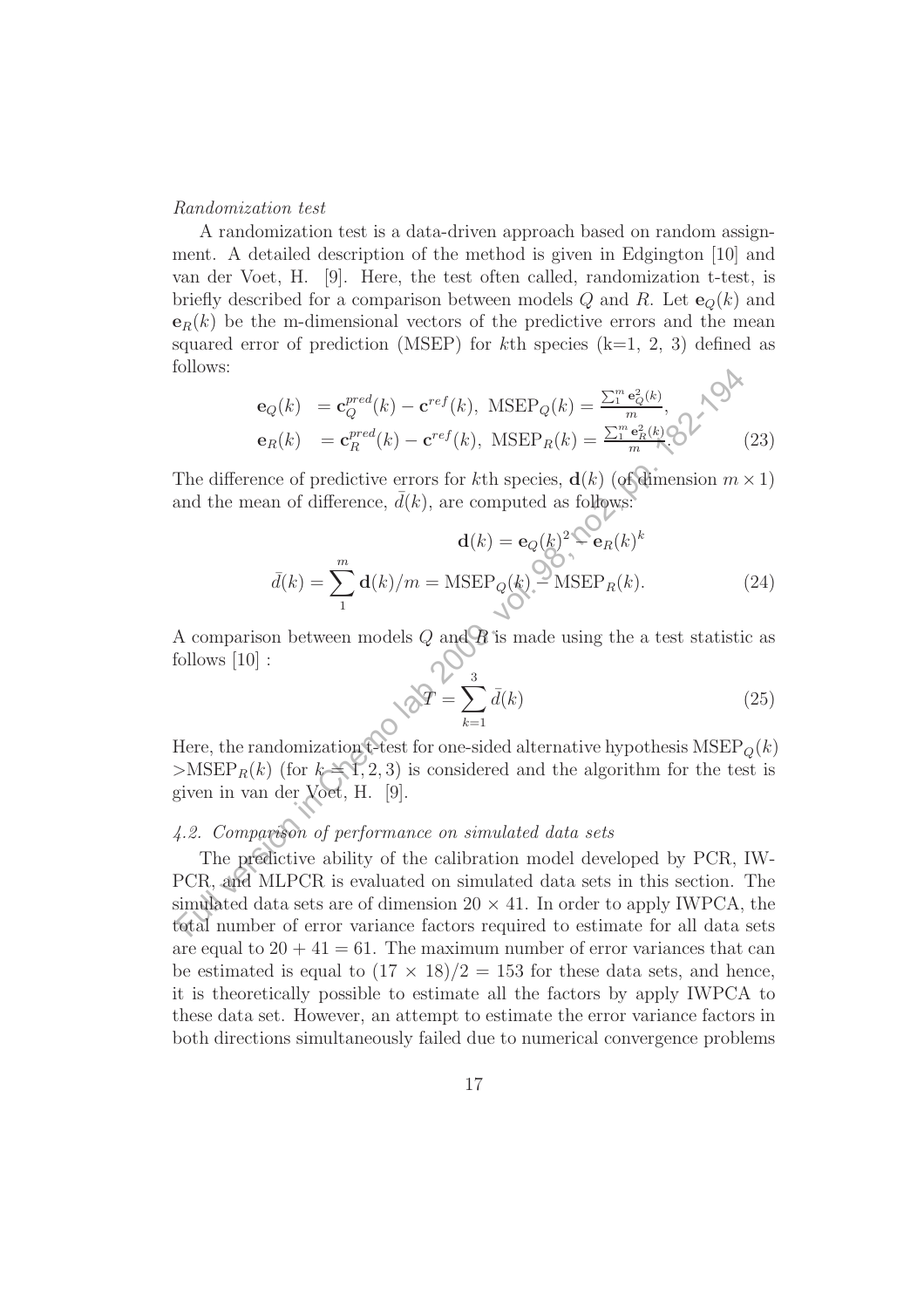#### Randomization test

A randomization test is a data-driven approach based on random assignment. A detailed description of the method is given in Edgington [10] and van der Voet, H. [9]. Here, the test often called, randomization t-test, is briefly described for a comparison between models Q and R. Let  $e_0(k)$  and  $e_R(k)$  be the m-dimensional vectors of the predictive errors and the mean squared error of prediction (MSEP) for kth species  $(k=1, 2, 3)$  defined as follows:

$$
\mathbf{e}_Q(k) = \mathbf{c}_Q^{pred}(k) - \mathbf{c}^{ref}(k), \text{ MSEP}_Q(k) = \frac{\sum_{1}^{m} \mathbf{e}_Q^2(k)}{m},
$$
  
\n
$$
\mathbf{e}_R(k) = \mathbf{c}_R^{pred}(k) - \mathbf{c}^{ref}(k), \text{ MSEP}_R(k) = \frac{\sum_{1}^{m} \mathbf{e}_R^2(k)}{m}.
$$
 (23)

The difference of predictive errors for kth species,  $\mathbf{d}(k)$  (of dimension  $m \times 1$ ) and the mean of difference,  $\bar{d}(k)$ , are computed as follows:

$$
\mathbf{d}(k) = \mathbf{e}_Q(k)^2 \mathbf{e}_R(k)^k
$$

$$
\bar{d}(k) = \sum_{1}^{m} \mathbf{d}(k)/m = \text{MSEP}_Q(k). \qquad \text{MSEP}_R(k). \tag{24}
$$

A comparison between models  $Q$  and  $R$  is made using the a test statistic as follows [10]: follows [10] :

$$
\mathcal{F} = \sum_{k=1}^{3} \bar{d}(k) \tag{25}
$$

Here, the randomization t-test for one-sided alternative hypothesis  $\mathrm{MSEP}_Q(k)$  $>$ MSEP<sub>R</sub>(k) (for k  $\leq$ 1, 2, 3) is considered and the algorithm for the test is given in van der Voet, H. [9].

# 4.2. Comparison of performance on simulated data sets

The predictive ability of the calibration model developed by PCR, IW-PCR, and MLPCR is evaluated on simulated data sets in this section. The simulated data sets are of dimension  $20 \times 41$ . In order to apply IWPCA, the total number of error variance factors required to estimate for all data sets are equal to  $20 + 41 = 61$ . The maximum number of error variances that can be estimated is equal to  $(17 \times 18)/2 = 153$  for these data sets, and hence, it is theoretically possible to estimate all the factors by apply IWPCA to these data set. However, an attempt to estimate the error variance factors in both directions simultaneously failed due to numerical convergence problems Fundam is eq.(k) =  $e_C^{pred}(k) - e^{ref}(k)$ , MSEP<sub>Q</sub>(k) =  $\frac{\sum_{i=1}^{m} e_G^2(k)}{m}$ ,<br>  $e_R(k) = e_L^{pred}(k) - e^{ref}(k)$ , MSEP<sub>R</sub>(k) =  $\frac{\sum_{i=1}^{m} e_G^2(k)}{m}$ ,<br>
The difference of predictive errors for kth species, **d**(k) (of dimension *m* and t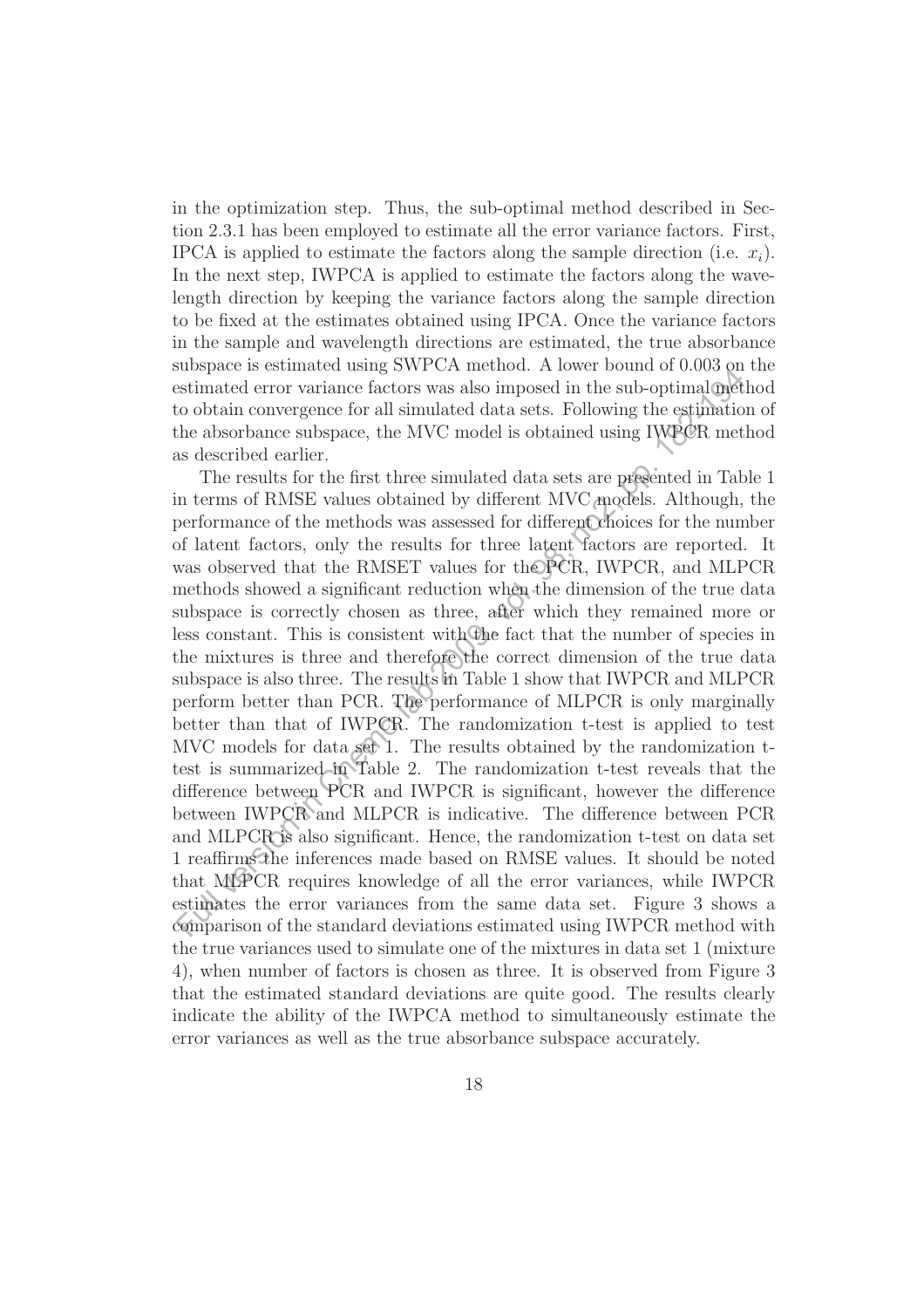in the optimization step. Thus, the sub-optimal method described in Section 2.3.1 has been employed to estimate all the error variance factors. First, IPCA is applied to estimate the factors along the sample direction (i.e.  $x_i$ ). In the next step, IWPCA is applied to estimate the factors along the wavelength direction by keeping the variance factors along the sample direction to be fixed at the estimates obtained using IPCA. Once the variance factors in the sample and wavelength directions are estimated, the true absorbance subspace is estimated using SWPCA method. A lower bound of 0.003 on the estimated error variance factors was also imposed in the sub-optimal method to obtain convergence for all simulated data sets. Following the estimation of the absorbance subspace, the MVC model is obtained using IWPCR method as described earlier.

The results for the first three simulated data sets are presented in Table 1 in terms of RMSE values obtained by different MVC models. Although, the performance of the methods was assessed for different choices for the number of latent factors, only the results for three latent factors are reported. It was observed that the RMSET values for the PCR, IWPCR, and MLPCR methods showed a significant reduction when the dimension of the true data subspace is correctly chosen as three, after which they remained more or less constant. This is consistent with the fact that the number of species in the mixtures is three and therefore the correct dimension of the true data subspace is also three. The results in Table 1 show that IWPCR and MLPCR perform better than PCR. The performance of MLPCR is only marginally better than that of IWPCR. The randomization t-test is applied to test MVC models for data set 1. The results obtained by the randomization ttest is summarized in Table 2. The randomization t-test reveals that the difference between PCR and IWPCR is significant, however the difference between IWPCR and MLPCR is indicative. The difference between PCR and MLPCR is also significant. Hence, the randomization t-test on data set 1 reaffirms the inferences made based on RMSE values. It should be noted that MLPCR requires knowledge of all the error variances, while IWPCR estimates the error variances from the same data set. Figure 3 shows a comparison of the standard deviations estimated using IWPCR method with the true variances used to simulate one of the mixtures in data set 1 (mixture 4), when number of factors is chosen as three. It is observed from Figure 3 that the estimated standard deviations are quite good. The results clearly indicate the ability of the IWPCA method to simultaneously estimate the error variances as well as the true absorbance subspace accurately. subspace is summarized using over  $V$ -reaction. A ower bound of cocoo purinculated error variance factors was also imposed in the sub-optimal one is obtain convergence for all simulated data sets. Following the estimation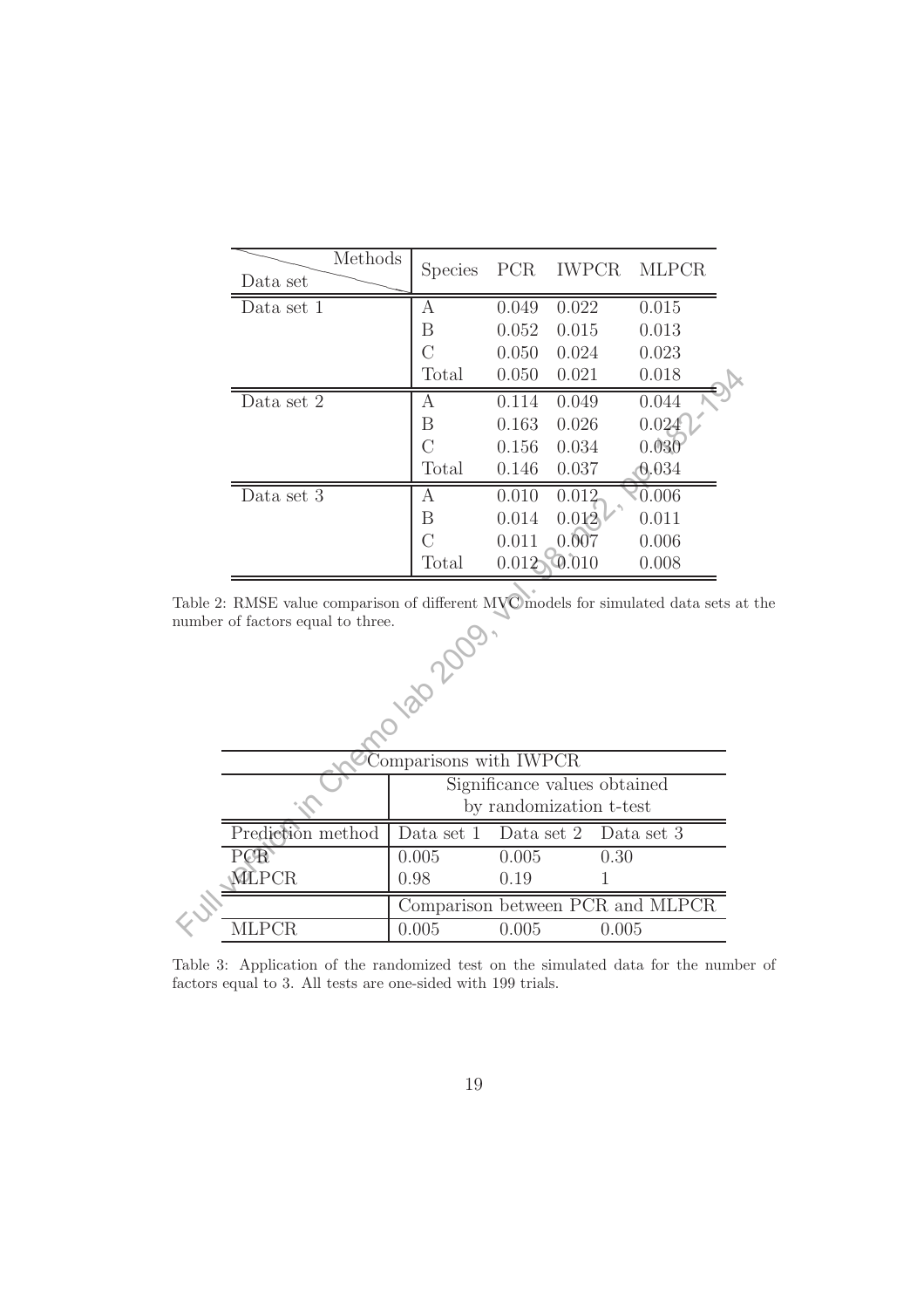| Methods<br>Data set | <b>Species</b> |       | PCR IWPCR | <b>MLPCR</b> |
|---------------------|----------------|-------|-----------|--------------|
| Data set 1          | Α              | 0.049 | 0.022     | 0.015        |
|                     | B              | 0.052 | 0.015     | 0.013        |
|                     | $\mathcal{C}$  | 0.050 | 0.024     | 0.023        |
|                     | Total          | 0.050 | 0.021     | 0.018        |
| Data set 2          | А              | 0.114 | 0.049     | 0.044        |
|                     | B              | 0.163 | 0.026     | 0.024        |
|                     | $\mathcal{C}$  | 0.156 | 0.034     | 0.030        |
|                     | Total          | 0.146 | 0.037     | 0.034        |
| Data set 3          | А              | 0.010 | 0.012     | 0.006        |
|                     | B              | 0.014 | 0.012     | 0.011        |
|                     | $\mathcal{C}$  | 0.011 | 0.007     | 0.006        |
|                     | Total          | 0.012 | 0.010     | 0.008        |

number of factors equal to three.



Table 3: Application of the randomized test on the simulated data for the number of factors equal to 3. All tests are one-sided with 199 trials.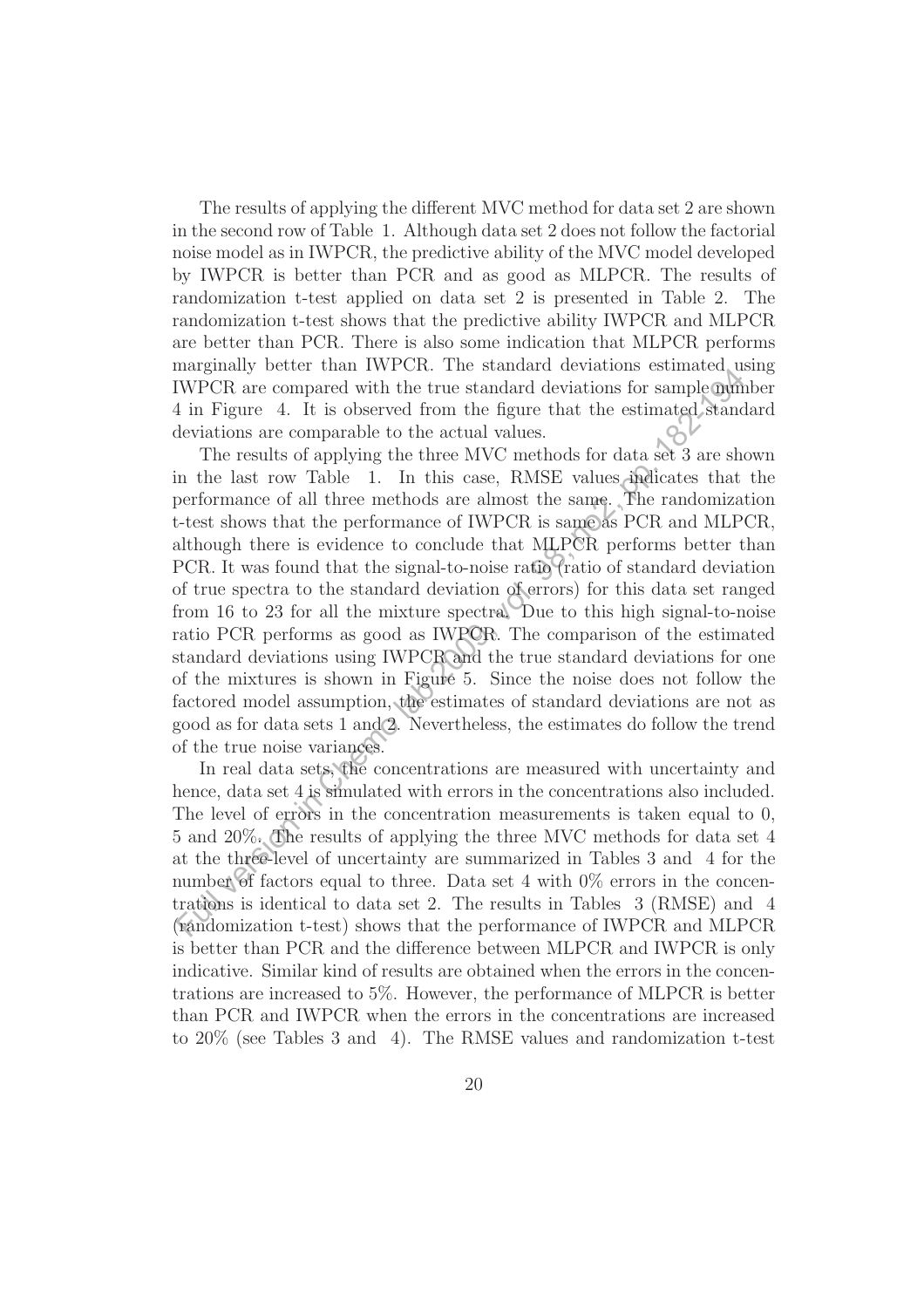The results of applying the different MVC method for data set 2 are shown in the second row of Table 1. Although data set 2 does not follow the factorial noise model as in IWPCR, the predictive ability of the MVC model developed by IWPCR is better than PCR and as good as MLPCR. The results of randomization t-test applied on data set 2 is presented in Table 2. The randomization t-test shows that the predictive ability IWPCR and MLPCR are better than PCR. There is also some indication that MLPCR performs marginally better than IWPCR. The standard deviations estimated using IWPCR are compared with the true standard deviations for sample number 4 in Figure 4. It is observed from the figure that the estimated standard deviations are comparable to the actual values.

The results of applying the three MVC methods for data set 3 are shown in the last row Table 1. In this case, RMSE values indicates that the performance of all three methods are almost the same. The randomization t-test shows that the performance of IWPCR is same as PCR and MLPCR, although there is evidence to conclude that MLPCR performs better than PCR. It was found that the signal-to-noise ratio (ratio of standard deviation of true spectra to the standard deviation of errors) for this data set ranged from 16 to 23 for all the mixture spectra. Due to this high signal-to-noise ratio PCR performs as good as IWPCR. The comparison of the estimated standard deviations using IWPCR and the true standard deviations for one of the mixtures is shown in Figure 5. Since the noise does not follow the factored model assumption, the estimates of standard deviations are not as good as for data sets 1 and 2. Nevertheless, the estimates do follow the trend of the true noise variances. magnary better than i wiver. The shamal deviations sentmated university in Figure 4. It is observed from the figure that the estimated standeviations are comparable to the actual values. The results of applying the three

In real data sets, the concentrations are measured with uncertainty and hence, data set 4 is simulated with errors in the concentrations also included. The level of errors in the concentration measurements is taken equal to 0, 5 and 20%. The results of applying the three MVC methods for data set 4 at the three-level of uncertainty are summarized in Tables 3 and 4 for the number of factors equal to three. Data set 4 with  $0\%$  errors in the concentrations is identical to data set 2. The results in Tables 3 (RMSE) and 4 (randomization t-test) shows that the performance of IWPCR and MLPCR is better than PCR and the difference between MLPCR and IWPCR is only indicative. Similar kind of results are obtained when the errors in the concentrations are increased to 5%. However, the performance of MLPCR is better than PCR and IWPCR when the errors in the concentrations are increased to 20% (see Tables 3 and 4). The RMSE values and randomization t-test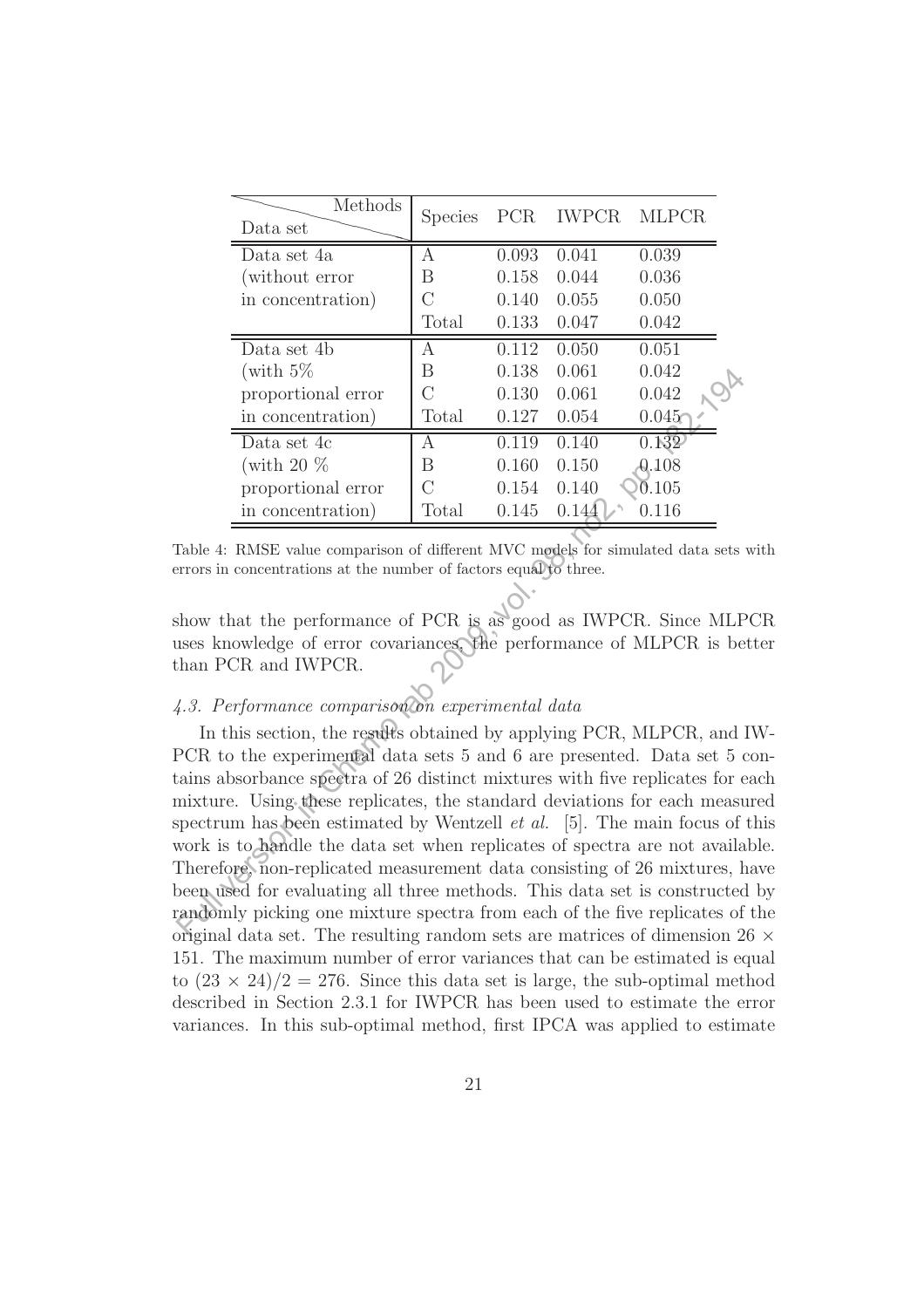| Methods<br>Data set | <b>Species</b> |       | PCR IWPCR MLPCR |                    |
|---------------------|----------------|-------|-----------------|--------------------|
| Data set 4a         | Α              | 0.093 | 0.041           | 0.039              |
| (without error      | B              | 0.158 | 0.044           | 0.036              |
| in concentration)   | С              | 0.140 | 0.055           | 0.050              |
|                     | Total          | 0.133 | 0.047           | 0.042              |
| Data set 4b         | А              | 0.112 | 0.050           | 0.051              |
| (with $5\%$ )       | В              | 0.138 | 0.061           | 0.042              |
| proportional error  | C              | 0.130 | 0.061           | 0.042              |
| in concentration)   | Total          | 0.127 | 0.054           | 0.045c             |
| Data set 4c         | A              | 0.119 | 0.140           | 0.132              |
| (with 20 $\%$       | В              | 0.160 | 0.150           | 0.108              |
| proportional error  | $\bigcap$      | 0.154 | 0.140           | $\overline{0.105}$ |
| in concentration)   | Total          | 0.145 | 0.144           | 0.116              |

Table 4: RMSE value comparison of different MVC models for simulated data sets with errors in concentrations at the number of factors equal to three.

show that the performance of PCR is as good as IWPCR. Since MLPCR uses knowledge of error covariances, the performance of MLPCR is better than PCR and IWPCR.

# 4.3. Performance comparison on experimental data

In this section, the results obtained by applying PCR, MLPCR, and IW-PCR to the experimental data sets 5 and 6 are presented. Data set 5 contains absorbance spectra of 26 distinct mixtures with five replicates for each mixture. Using these replicates, the standard deviations for each measured spectrum has been estimated by Wentzell *et al.* [5]. The main focus of this work is to handle the data set when replicates of spectra are not available. Therefore, non-replicated measurement data consisting of 26 mixtures, have been used for evaluating all three methods. This data set is constructed by randomly picking one mixture spectra from each of the five replicates of the original data set. The resulting random sets are matrices of dimension 26  $\times$ 151. The maximum number of error variances that can be estimated is equal to  $(23 \times 24)/2 = 276$ . Since this data set is large, the sub-optimal method described in Section 2.3.1 for IWPCR has been used to estimate the error variances. In this sub-optimal method, first IPCA was applied to estimate Full version in Chemo lab 2009, vol. 98, no2, pp. 182-194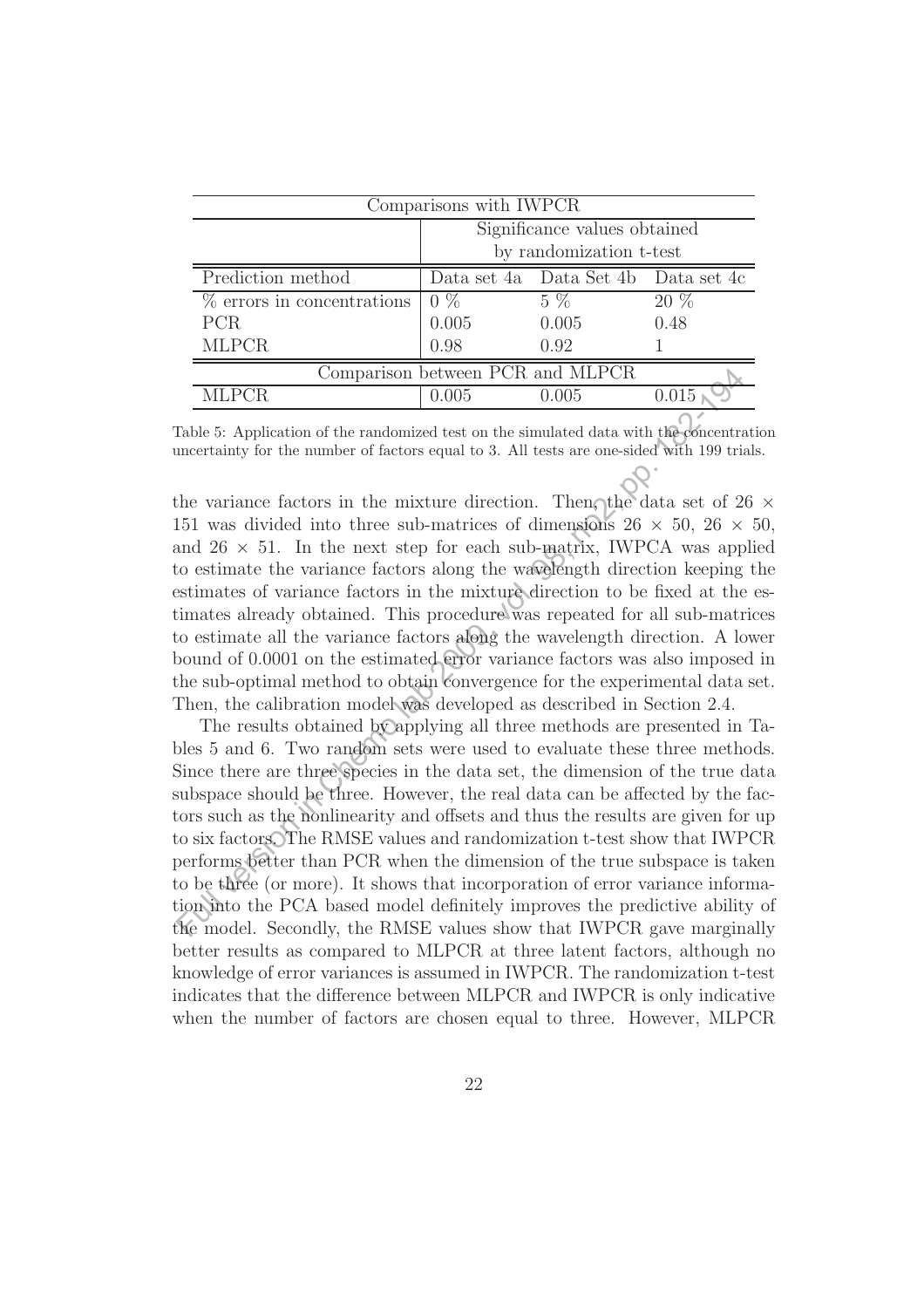| Comparisons with IWPCR           |                         |                                     |        |  |  |  |  |  |
|----------------------------------|-------------------------|-------------------------------------|--------|--|--|--|--|--|
|                                  |                         | Significance values obtained        |        |  |  |  |  |  |
|                                  | by randomization t-test |                                     |        |  |  |  |  |  |
| Prediction method                |                         | Data set 4a Data Set 4b Data set 4c |        |  |  |  |  |  |
| $%$ errors in concentrations     | $0\%$                   | $5\%$                               | $20\%$ |  |  |  |  |  |
| PCR.                             | 0.005                   | 0.005                               | 0.48   |  |  |  |  |  |
| <b>MLPCR</b>                     | 0.98                    | 0.92                                |        |  |  |  |  |  |
| Comparison between PCR and MLPCR |                         |                                     |        |  |  |  |  |  |
| <b>MLPCR</b>                     | 0.005                   | 0.005                               | 0.015  |  |  |  |  |  |
|                                  |                         |                                     |        |  |  |  |  |  |

Table 5: Application of the randomized test on the simulated data with the concentration uncertainty for the number of factors equal to 3. All tests are one-sided with 199 trials.

the variance factors in the mixture direction. Then, the data set of 26  $\times$ 151 was divided into three sub-matrices of dimensions  $26 \times 50$ ,  $26 \times 50$ , and  $26 \times 51$ . In the next step for each sub-matrix, IWPCA was applied to estimate the variance factors along the wavelength direction keeping the estimates of variance factors in the mixture direction to be fixed at the estimates already obtained. This procedure was repeated for all sub-matrices to estimate all the variance factors along the wavelength direction. A lower bound of 0.0001 on the estimated error variance factors was also imposed in the sub-optimal method to obtain convergence for the experimental data set. Then, the calibration model was developed as described in Section 2.4. Comparison between PCR and MLPCR<br>  $\overline{MLPCR}$  ( $\overline{0.005}$   $\overline{0.005}$   $\overline{0.005}$   $\overline{0.015}$ )<br>
Table 5: Application of the randomized test on the simulated data with the dimension<br>
meertainty for the number of factor

The results obtained by applying all three methods are presented in Tables 5 and 6. Two random sets were used to evaluate these three methods. Since there are three species in the data set, the dimension of the true data subspace should be three. However, the real data can be affected by the factors such as the nonlinearity and offsets and thus the results are given for up to six factors. The RMSE values and randomization t-test show that IWPCR performs better than PCR when the dimension of the true subspace is taken to be three (or more). It shows that incorporation of error variance information into the PCA based model definitely improves the predictive ability of the model. Secondly, the RMSE values show that IWPCR gave marginally better results as compared to MLPCR at three latent factors, although no knowledge of error variances is assumed in IWPCR. The randomization t-test indicates that the difference between MLPCR and IWPCR is only indicative when the number of factors are chosen equal to three. However, MLPCR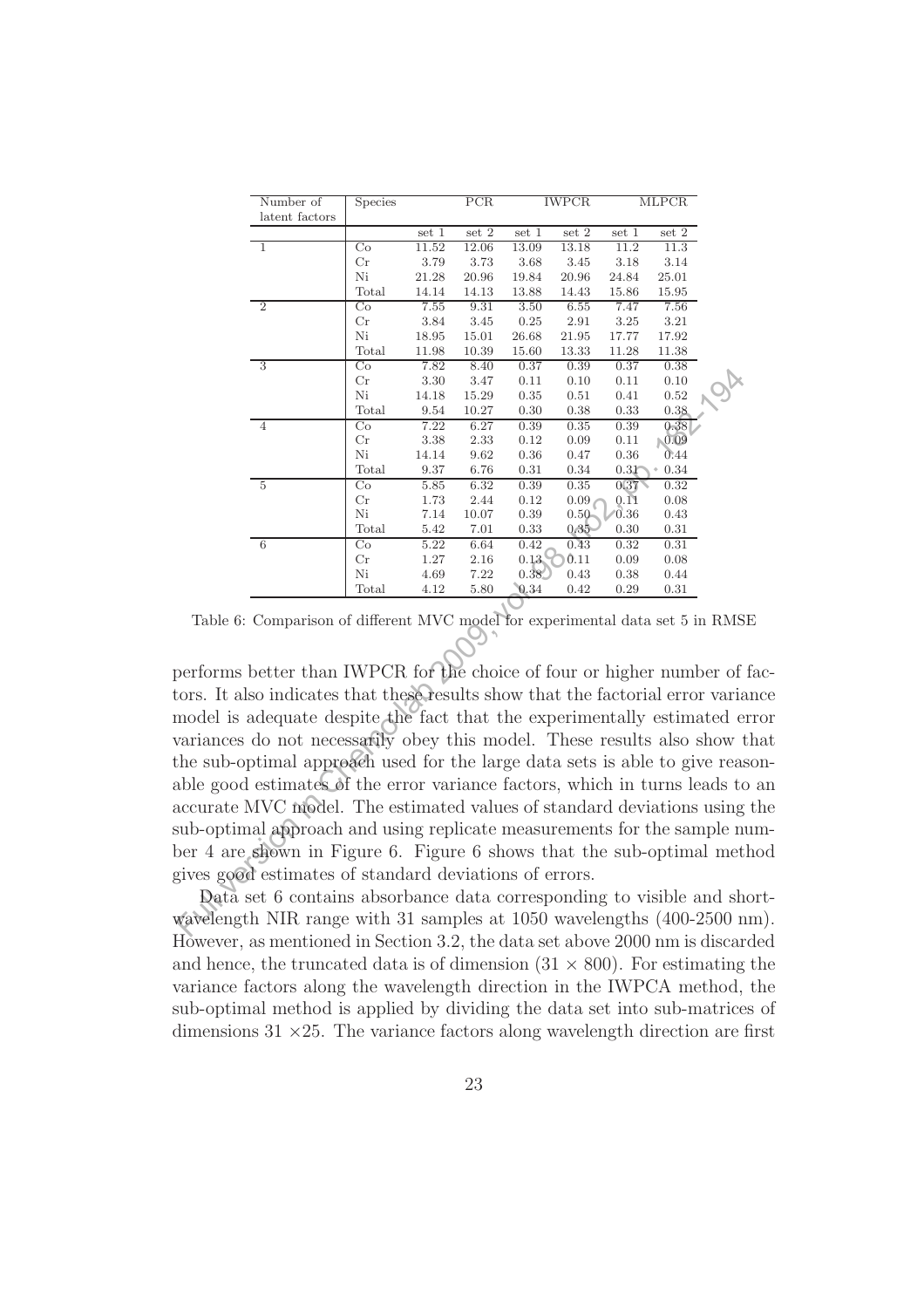| Number of      | Species     |                      | PCR                |                   | <b>IWPCR</b>       | <b>MLPCR</b> |           |  |
|----------------|-------------|----------------------|--------------------|-------------------|--------------------|--------------|-----------|--|
| latent factors |             |                      |                    |                   |                    |              |           |  |
|                |             | $set$ $\overline{1}$ | set $\overline{2}$ | set 1             | set $\overline{2}$ | set 1        | set $2$   |  |
| $\mathbf{1}$   | Co          | 11.52                | 12.06              | 13.09             | 13.18              | 11.2         | 11.3      |  |
|                | $_{\rm Cr}$ | 3.79                 | 3.73               | 3.68              | 3.45               | 3.18         | 3.14      |  |
|                | Ni          | 21.28                | 20.96              | 19.84             | 20.96              | 24.84        | 25.01     |  |
|                | Total       | 14.14                | 14.13              | 13.88             | 14.43              | 15.86        | 15.95     |  |
| $\mathbf{2}$   | Co          | 7.55                 | 9.31               | 3.50              | 6.55               | 7.47         | 7.56      |  |
|                | $_{\rm Cr}$ | 3.84                 | 3.45               | 0.25              | 2.91               | 3.25         | 3.21      |  |
|                | Ni          | 18.95                | 15.01              | 26.68             | 21.95              | 17.77        | 17.92     |  |
|                | Total       | 11.98                | 10.39              | 15.60             | 13.33              | 11.28        | 11.38     |  |
| 3              | Co          | 7.82                 | 8.40               | 0.37              | 0.39               | 0.37         | 0.38      |  |
|                | $_{\rm Cr}$ | 3.30                 | 3.47               | 0.11              | 0.10               | 0.11         | 0.10      |  |
|                | Ni          | 14.18                | 15.29              | 0.35              | 0.51               | 0.41         | 0.52      |  |
|                | Total       | 9.54                 | 10.27              | 0.30              | 0.38               | 0.33         | 0.38      |  |
| $\overline{4}$ | Co          | 7.22                 | 6.27               | 0.39              | 0.35               | 0.39         | 0.38      |  |
|                | Сr          | 3.38                 | 2.33               | 0.12              | 0.09               | 0.11         | 0.09      |  |
|                | Ni          | 14.14                | 9.62               | 0.36              | 0.47               | 0.36         | 0.44      |  |
|                | Total       | 9.37                 | 6.76               | 0.31              | 0.34               | 0.31         | 0.34<br>۰ |  |
| $\overline{5}$ | Co          | 5.85                 | 6.32               | 0.39              | 0.35               | 0.37         | 0.32      |  |
|                | $_{\rm Cr}$ | 1.73                 | 2.44               | 0.12              | 0.09               | 0.11         | 0.08      |  |
|                | Ni          | 7.14                 | 10.07              | 0.39              | $0.50 -$           | 0.36         | 0.43      |  |
|                | Total       | 5.42                 | 7.01               | 0.33              | 0.35               | 0.30         | 0.31      |  |
| 6              | Co          | 5.22                 | 6.64               | 0.42              | 0.43               | 0.32         | 0.31      |  |
|                | $_{\rm Cr}$ | 1.27                 | 2.16               | 0.13              | 0.11               | 0.09         | 0.08      |  |
|                | Ni          | 4.69                 | 7.22               | 0.38 <sub>1</sub> | 0.43               | 0.38         | 0.44      |  |
|                | Total       | 4.12                 | 5.80               | 0.34              | 0.42               | 0.29         | 0.31      |  |

Table 6: Comparison of different MVC model for experimental data set 5 in RMSE

performs better than IWPCR for the choice of four or higher number of factors. It also indicates that these results show that the factorial error variance model is adequate despite the fact that the experimentally estimated error variances do not necessarily obey this model. These results also show that the sub-optimal approach used for the large data sets is able to give reasonable good estimates of the error variance factors, which in turns leads to an accurate MVC model. The estimated values of standard deviations using the sub-optimal approach and using replicate measurements for the sample number 4 are shown in Figure 6. Figure 6 shows that the sub-optimal method gives good estimates of standard deviations of errors. Fund 1.12 8 200 11 10.29 10.39 10.39<br>
The lab 2009, 0.39 2.49 0.11 0.10 0.11 0.10<br>
The lab 200 2.29 0.28 0.38 0.38 0.38<br>
The lab 200 2.22 0.29 0.39 0.39 0.38<br>
The lab 2009 0.03 0.03 0.38<br>
The lab 2009, 0.03<br>
The lab 2009

Data set 6 contains absorbance data corresponding to visible and shortwavelength NIR range with 31 samples at 1050 wavelengths (400-2500 nm). However, as mentioned in Section 3.2, the data set above 2000 nm is discarded and hence, the truncated data is of dimension  $(31 \times 800)$ . For estimating the variance factors along the wavelength direction in the IWPCA method, the sub-optimal method is applied by dividing the data set into sub-matrices of dimensions  $31 \times 25$ . The variance factors along wavelength direction are first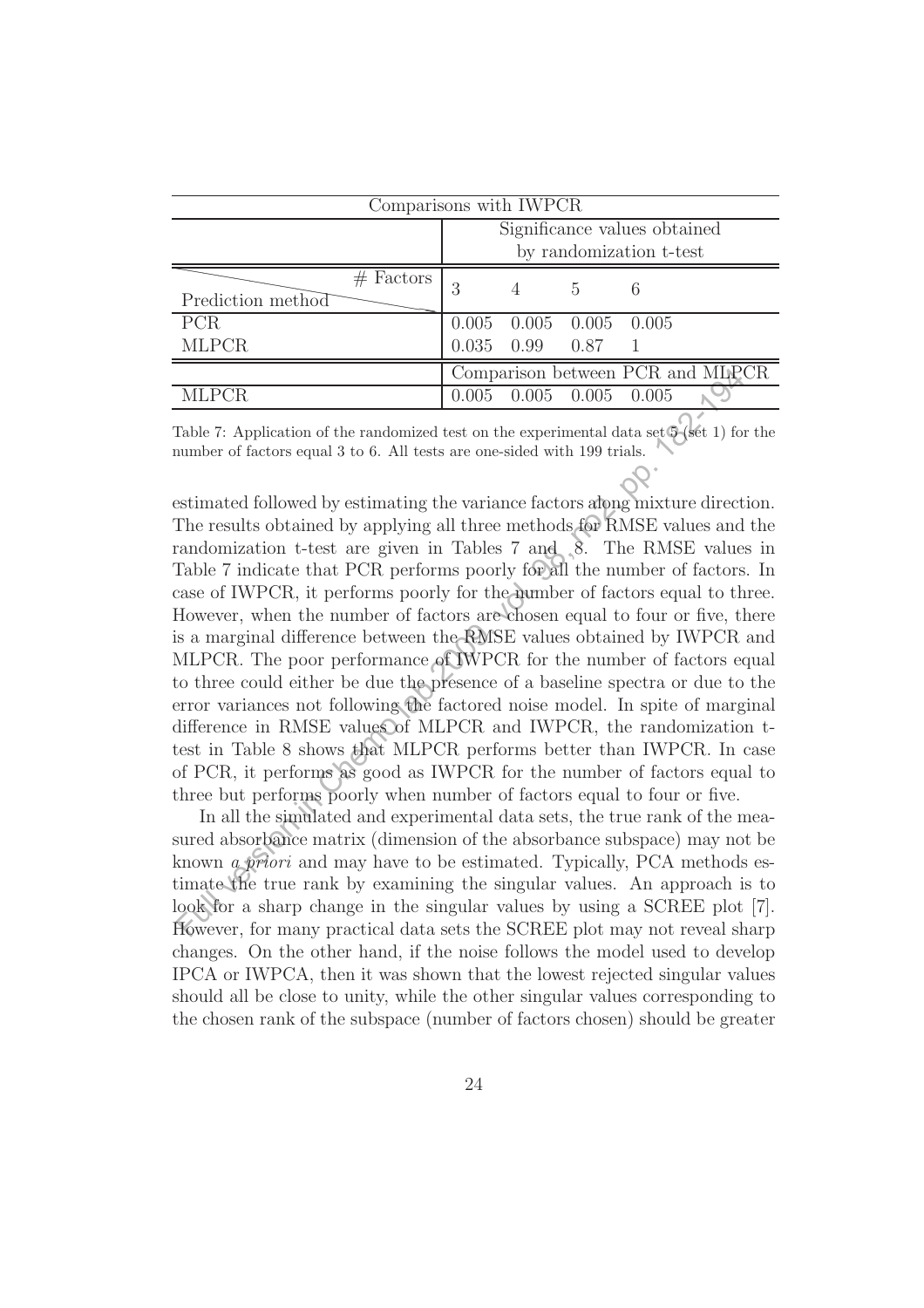| Comparisons with IWPCR           |                                  |                                 |               |  |  |  |  |  |
|----------------------------------|----------------------------------|---------------------------------|---------------|--|--|--|--|--|
|                                  |                                  | Significance values obtained    |               |  |  |  |  |  |
|                                  | by randomization t-test          |                                 |               |  |  |  |  |  |
| $#$ Factors<br>Prediction method | 3                                |                                 | $\mathfrak h$ |  |  |  |  |  |
| <b>PCR</b>                       |                                  | $0.005$ $0.005$ $0.005$ $0.005$ |               |  |  |  |  |  |
| <b>MLPCR</b>                     |                                  | $0.035$ $0.99$ $0.87$ 1         |               |  |  |  |  |  |
|                                  | Comparison between PCR and MLPCR |                                 |               |  |  |  |  |  |
| <b>MLPCR</b>                     |                                  | $0.005$ $0.005$ $0.005$ $0.005$ |               |  |  |  |  |  |
|                                  |                                  |                                 |               |  |  |  |  |  |

Table 7: Application of the randomized test on the experimental data set  $\frac{6}{5}$  (set 1) for the number of factors equal 3 to 6. All tests are one-sided with 199 trials.

estimated followed by estimating the variance factors along mixture direction. The results obtained by applying all three methods for RMSE values and the randomization t-test are given in Tables 7 and 8. The RMSE values in Table 7 indicate that PCR performs poorly for all the number of factors. In case of IWPCR, it performs poorly for the number of factors equal to three. However, when the number of factors are chosen equal to four or five, there is a marginal difference between the RMSE values obtained by IWPCR and MLPCR. The poor performance of IWPCR for the number of factors equal to three could either be due the presence of a baseline spectra or due to the error variances not following the factored noise model. In spite of marginal difference in RMSE values of MLPCR and IWPCR, the randomization ttest in Table 8 shows that MLPCR performs better than IWPCR. In case of PCR, it performs as good as IWPCR for the number of factors equal to three but performs poorly when number of factors equal to four or five. MLPCR Comparison between PCR and MLPCR<br>
Indee 7: Application of the randomized test on the experimental data set  $Q_{\text{eff}}(1)$  for<br>
unumber of factors equal 3 to 6. All tests are one-sided with 199 trials.<br>
Setimated follo

In all the simulated and experimental data sets, the true rank of the measured absorbance matrix (dimension of the absorbance subspace) may not be known *a priori* and may have to be estimated. Typically, PCA methods estimate the true rank by examining the singular values. An approach is to look for a sharp change in the singular values by using a SCREE plot [7]. However, for many practical data sets the SCREE plot may not reveal sharp changes. On the other hand, if the noise follows the model used to develop IPCA or IWPCA, then it was shown that the lowest rejected singular values should all be close to unity, while the other singular values corresponding to the chosen rank of the subspace (number of factors chosen) should be greater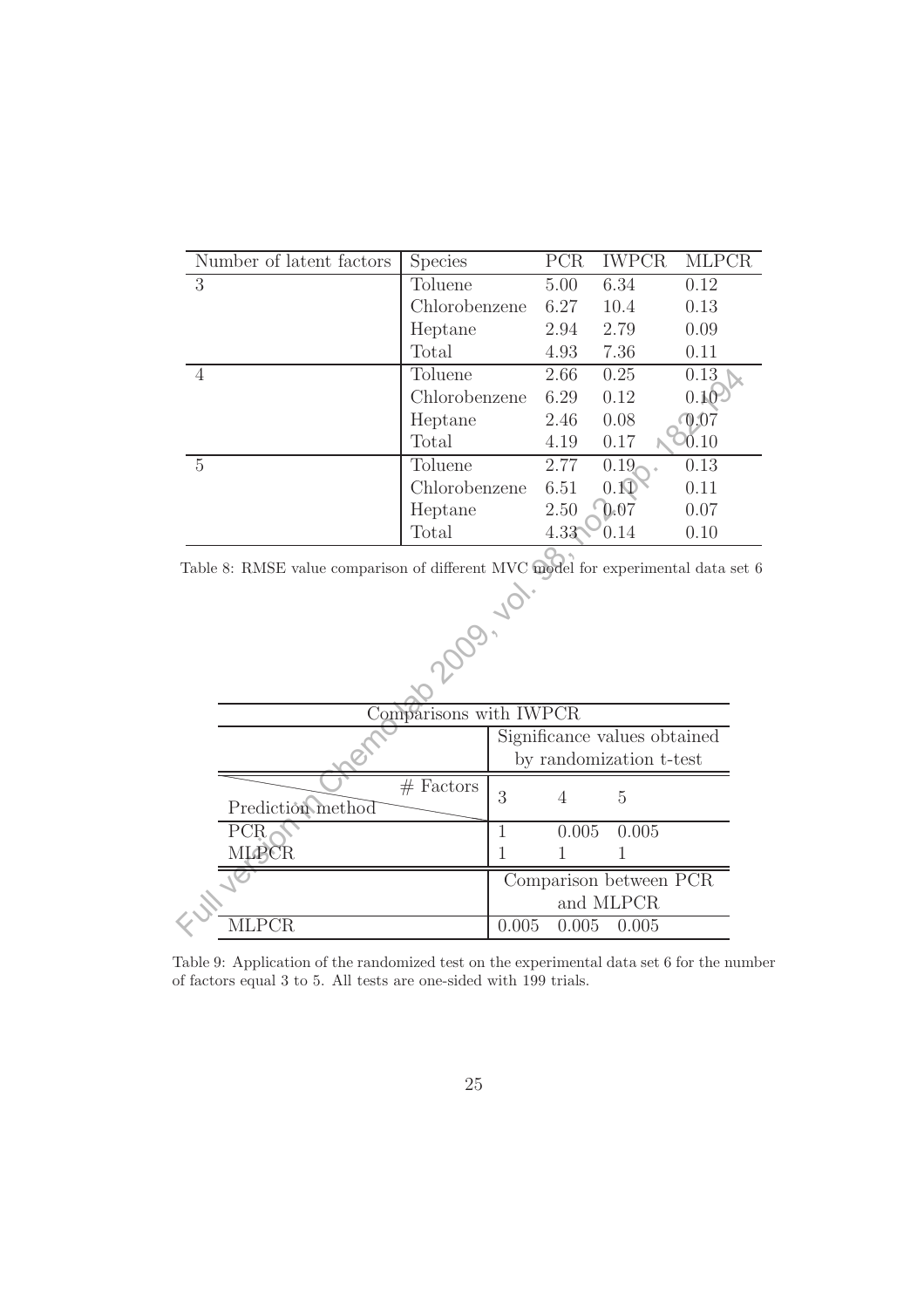| Number of latent factors | <b>Species</b> | PCR  | <b>IWPCR</b> | <b>MLPCR</b> |
|--------------------------|----------------|------|--------------|--------------|
| 3                        | Toluene        | 5.00 | 6.34         | 0.12         |
|                          | Chlorobenzene  | 6.27 | 10.4         | 0.13         |
|                          | Heptane        | 2.94 | 2.79         | 0.09         |
|                          | Total          | 4.93 | 7.36         | 0.11         |
| $\overline{4}$           | Toluene        | 2.66 | 0.25         | 0.13         |
|                          | Chlorobenzene  | 6.29 | 0.12         | 0.10         |
|                          | Heptane        | 2.46 | 0.08         | $\Omega$ .07 |
|                          | Total          | 4.19 | 0.17         | 0.10         |
| $\overline{5}$           | Toluene        | 2.77 | 0.19         | 0.13         |
|                          | Chlorobenzene  | 6.51 | 0.11         | 0.11         |
|                          | Heptane        | 2.50 | 0.07         | 0.07         |
|                          | Total          | 4.33 | 0.14         | 0.10         |

Reposed to the Report

| $\overline{4}$ |                                                                                 | Toluene                      |              | 2.66           | 0.25      | 0.13                   |  |
|----------------|---------------------------------------------------------------------------------|------------------------------|--------------|----------------|-----------|------------------------|--|
|                |                                                                                 | Chlorobenzene                |              | 6.29           | 0.12      | 0.10                   |  |
|                |                                                                                 | Heptane                      |              | 2.46           | 0.08      | $\omega$ .07           |  |
|                |                                                                                 | Total                        |              | 4.19           | 0.17      | 0.10                   |  |
| $\overline{5}$ |                                                                                 | Toluene                      |              | 2.77           | 0.19      | 0.13                   |  |
|                |                                                                                 | Chlorobenzene                |              | 6.51           | 0.10      | 0.11                   |  |
|                |                                                                                 | Heptane                      |              | 2.50           | 0.07      | 0.07                   |  |
|                |                                                                                 | Total                        |              | 4.33           | 0.14      | 0.10                   |  |
|                | Table 8: RMSE value comparison of different MVC model for experimental data set |                              |              |                |           |                        |  |
|                |                                                                                 |                              |              |                |           |                        |  |
|                |                                                                                 |                              |              |                |           |                        |  |
|                |                                                                                 |                              |              |                |           |                        |  |
|                |                                                                                 |                              |              |                |           |                        |  |
|                |                                                                                 |                              |              |                |           |                        |  |
|                |                                                                                 |                              |              |                |           |                        |  |
|                |                                                                                 | Comparisons with IWPCR       |              |                |           |                        |  |
|                |                                                                                 | Significance values obtained |              |                |           |                        |  |
|                |                                                                                 | by randomization t-test      |              |                |           |                        |  |
|                |                                                                                 | $#$ Factors                  | 3            | $\overline{4}$ | 5         |                        |  |
|                | Prediction method                                                               |                              |              |                |           |                        |  |
|                | PCR                                                                             |                              | $\mathbf{1}$ | 0.005          | 0.005     |                        |  |
|                | MLPCR                                                                           |                              | $\mathbf{1}$ | 1              |           |                        |  |
|                |                                                                                 |                              |              |                |           | Comparison between PCR |  |
|                |                                                                                 |                              |              |                | and MLPCR |                        |  |
|                | <b>MLPCR</b>                                                                    |                              | 0.005        | 0.005          | 0.005     |                        |  |
|                |                                                                                 |                              |              |                |           |                        |  |

Table 9: Application of the randomized test on the experimental data set 6 for the number of factors equal 3 to 5. All tests are one-sided with 199 trials.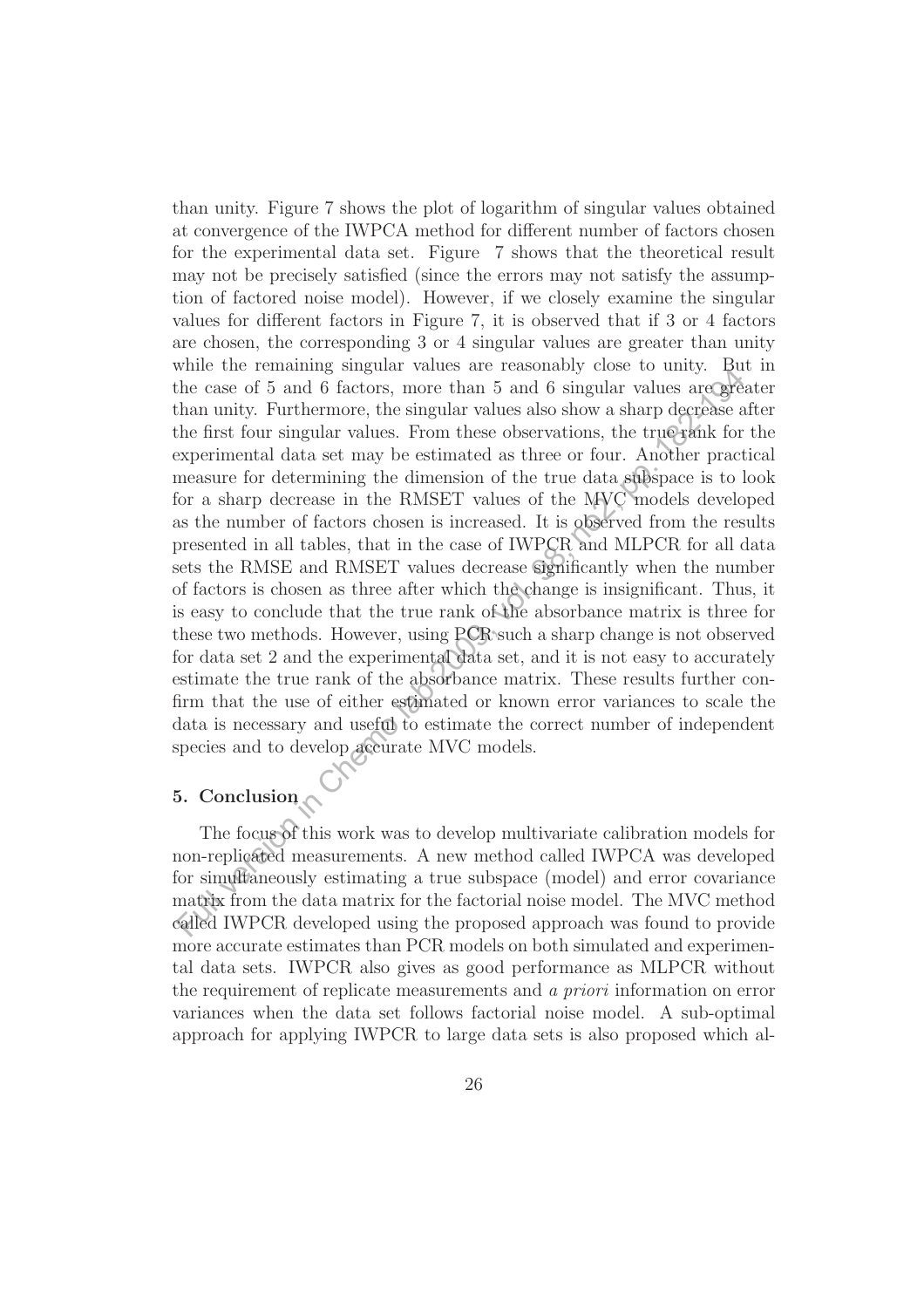than unity. Figure 7 shows the plot of logarithm of singular values obtained at convergence of the IWPCA method for different number of factors chosen for the experimental data set. Figure 7 shows that the theoretical result may not be precisely satisfied (since the errors may not satisfy the assumption of factored noise model). However, if we closely examine the singular values for different factors in Figure 7, it is observed that if 3 or 4 factors are chosen, the corresponding 3 or 4 singular values are greater than unity while the remaining singular values are reasonably close to unity. But in the case of 5 and 6 factors, more than 5 and 6 singular values are greater than unity. Furthermore, the singular values also show a sharp decrease after the first four singular values. From these observations, the true rank for the experimental data set may be estimated as three or four. Another practical measure for determining the dimension of the true data subspace is to look for a sharp decrease in the RMSET values of the MVC models developed as the number of factors chosen is increased. It is observed from the results presented in all tables, that in the case of IWPCR and MLPCR for all data sets the RMSE and RMSET values decrease significantly when the number of factors is chosen as three after which the change is insignificant. Thus, it is easy to conclude that the true rank of the absorbance matrix is three for these two methods. However, using PCR such a sharp change is not observed for data set 2 and the experimental data set, and it is not easy to accurately estimate the true rank of the absorbance matrix. These results further confirm that the use of either estimated or known error variances to scale the data is necessary and useful to estimate the correct number of independent species and to develop accurate MVC models. where the tentraling singural values are reasonably cose to unity. For the case of 5 and 6 factors, more than 5 and 6 singular values are precise the first four singular values. From these observations, the true park for

# 5. Conclusion

The focus of this work was to develop multivariate calibration models for non-replicated measurements. A new method called IWPCA was developed for simultaneously estimating a true subspace (model) and error covariance matrix from the data matrix for the factorial noise model. The MVC method called IWPCR developed using the proposed approach was found to provide more accurate estimates than PCR models on both simulated and experimental data sets. IWPCR also gives as good performance as MLPCR without the requirement of replicate measurements and a priori information on error variances when the data set follows factorial noise model. A sub-optimal approach for applying IWPCR to large data sets is also proposed which al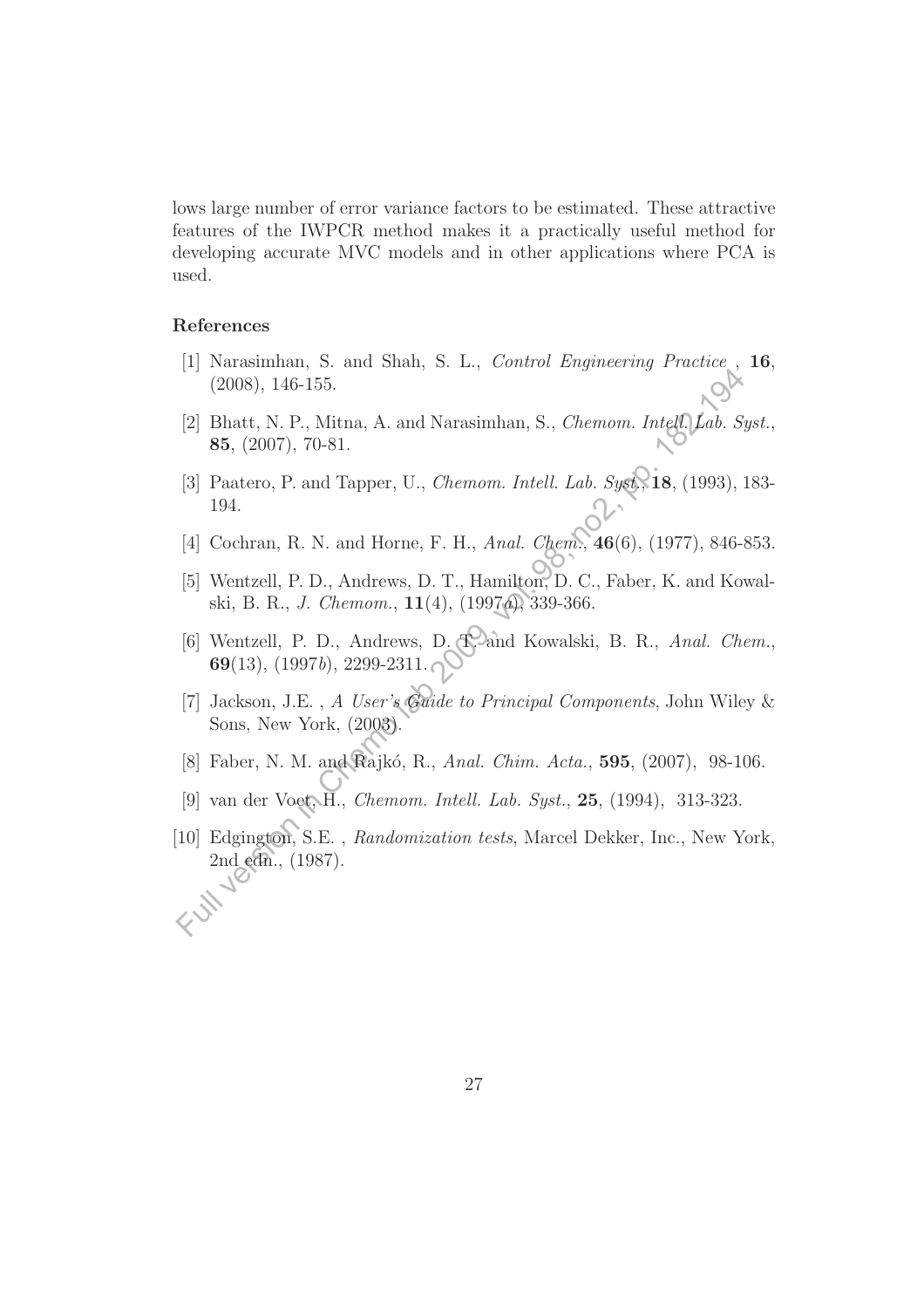lows large number of error variance factors to be estimated. These attractive features of the IWPCR method makes it a practically useful method for developing accurate MVC models and in other applications where PCA is used.

# References

- [1] Narasimhan, S. and Shah, S. L., Control Engineering Practice , 16, (2008), 146-155.
- [2] Bhatt, N. P., Mitna, A. and Narasimhan, S., *Chemom. Intell. Lab. Syst.*, **85.** (2007). 70-81. 85, (2007), 70-81.
- [3] Paatero, P. and Tapper, U., Chemom. Intell. Lab. Syst., 18, (1993), 183-194.
- [4] Cochran, R. N. and Horne, F. H., Anal. Chem., 46(6), (1977), 846-853.
- [5] Wentzell, P. D., Andrews, D. T., Hamilton, D. C., Faber, K. and Kowalski, B. R., J. Chemom., 11(4), (1997a), 339-366.
- [6] Wentzell, P. D., Andrews, D. T. and Kowalski, B. R., Anal. Chem.,  $69(13), (1997b), 2299-2311.$
- [7] Jackson, J.E. , A User's Guide to Principal Components, John Wiley & Sons, New York, (2003).
- [8] Faber, N. M. and Rajkó, R., Anal. Chim. Acta., 595, (2007), 98-106.
- [9] van der Voet, H., Chemom. Intell. Lab. Syst., 25, (1994), 313-323.
- [10] Edgington, S.E. , Randomization tests, Marcel Dekker, Inc., New York, 2nd edn., (1987). (2008), 146-155.<br>
[2] Bhatt, N. P., Mitna, A. and Narasimhan, S., Chemom. Intell. Lab. S.<br> **85**, (2007), 70-81.<br>
[3] Paatero, P. and Tapper, U., Chemom. Intell. Lab. Systems (1993), 194.<br>
[4] Cochran, R. N. and Horne, F.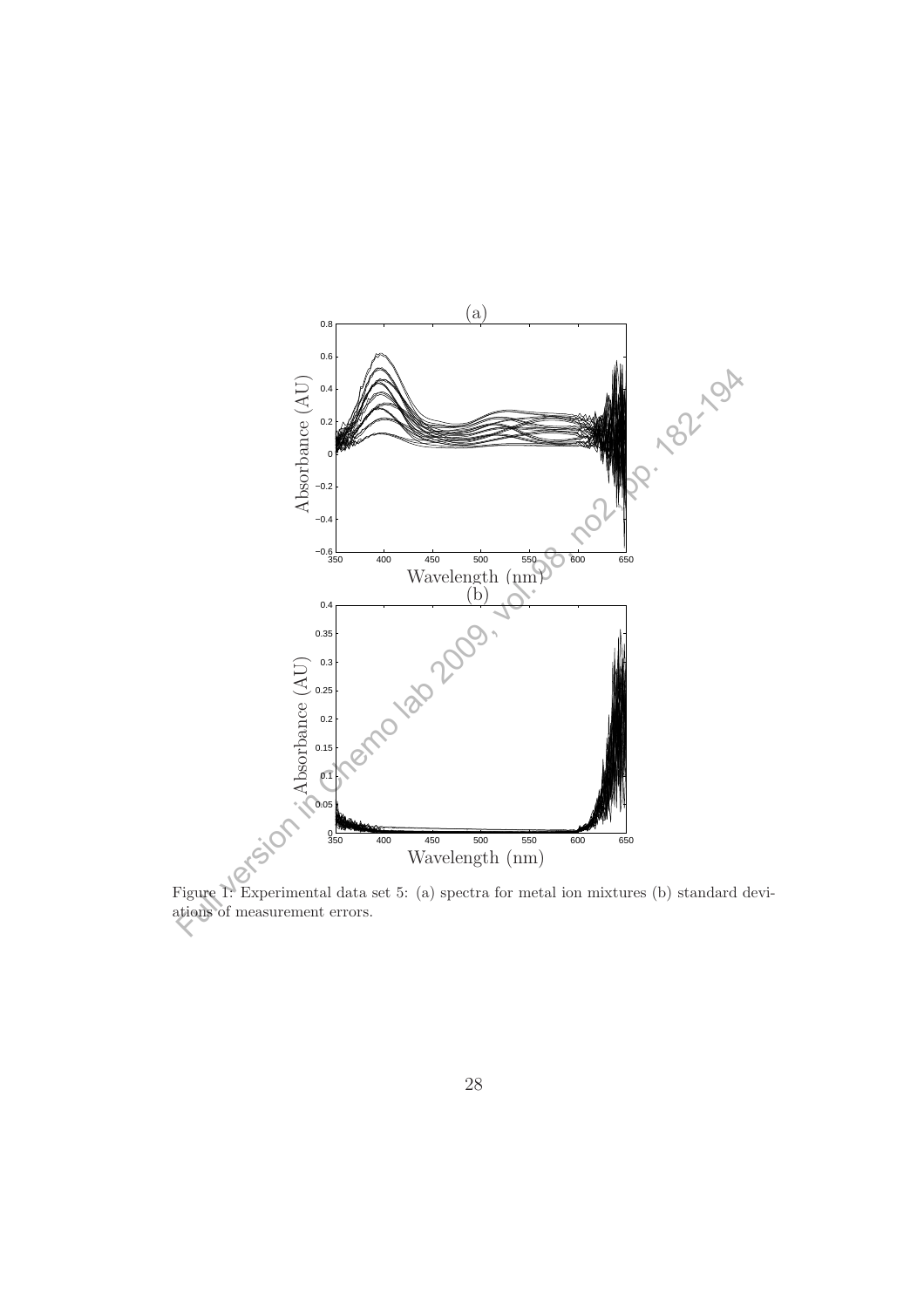

Figure 1: Experimental data set 5: (a) spectra for metal ion mixtures (b) standard deviations of measurement errors.